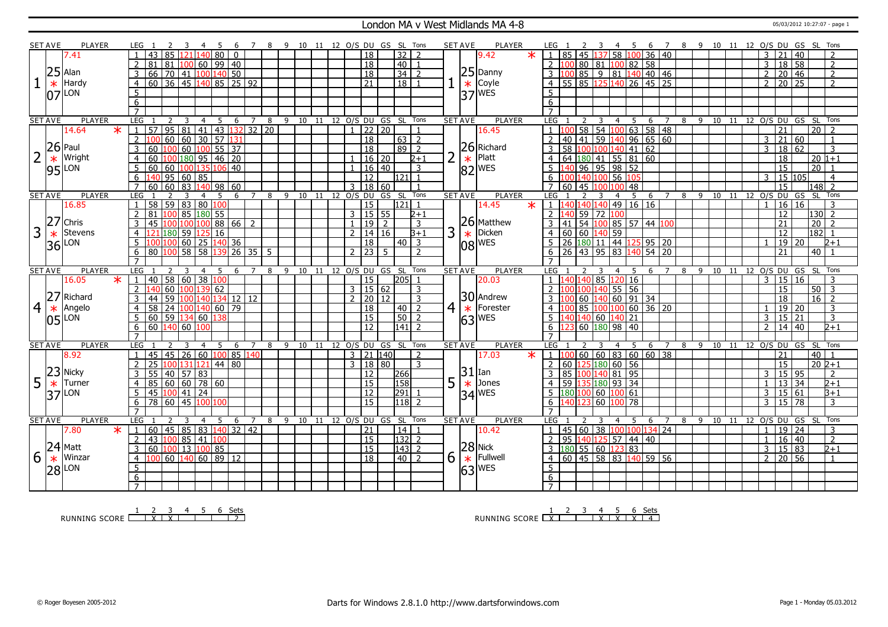#### London MA v West Midlands MA 4-8 05/03/2012 10:27:07 - page 1

|                | SET AVE | PLAYER                  | LEG 1                        |               |                                   | -4                    |              | 7              |    | 8 9 10 11 12 O/S DU GS SL Tons   |  |                                  |                 |                   |                                  |   | <b>SET AVE</b> | <b>PLAYER</b>                                                                                                   | LEG                                                                                                                                                                                                                                                                                                                                                                                                                                                                                               |                                 |                |                 | - 5                |                    |                |   |                                |    |                    | 6 7 8 9 10 11 12 0/S DU GS SL Tons |                          |                 |                  |                         |
|----------------|---------|-------------------------|------------------------------|---------------|-----------------------------------|-----------------------|--------------|----------------|----|----------------------------------|--|----------------------------------|-----------------|-------------------|----------------------------------|---|----------------|-----------------------------------------------------------------------------------------------------------------|---------------------------------------------------------------------------------------------------------------------------------------------------------------------------------------------------------------------------------------------------------------------------------------------------------------------------------------------------------------------------------------------------------------------------------------------------------------------------------------------------|---------------------------------|----------------|-----------------|--------------------|--------------------|----------------|---|--------------------------------|----|--------------------|------------------------------------|--------------------------|-----------------|------------------|-------------------------|
|                |         | 7.41                    |                              | 43<br>85      |                                   | 140 80                | $\mathbf{0}$ |                |    |                                  |  | 18                               |                 | 32                | $\overline{z}$                   |   |                | $\ast$<br>9.42                                                                                                  | 85                                                                                                                                                                                                                                                                                                                                                                                                                                                                                                |                                 |                | $\overline{58}$ | 100                | $36 \overline{40}$ |                |   |                                |    |                    | 3                                  | 21                       | 40              |                  | $\overline{2}$          |
|                |         |                         | 2                            | 81<br>81      | $ 100 $ 60   99   40              |                       |              |                |    |                                  |  | $\overline{18}$                  |                 | 40                | $\overline{1}$                   |   |                |                                                                                                                 | $2 \, 100$                                                                                                                                                                                                                                                                                                                                                                                                                                                                                        |                                 | 80   81        |                 | 1008258            |                    |                |   |                                |    |                    | 3                                  | 18                       | $\overline{58}$ |                  | $\overline{2}$          |
|                | 25      | Alan                    | $\overline{3}$               | 66            | 70   41   100   140   50          |                       |              |                |    |                                  |  | $\overline{18}$                  |                 | $\overline{34}$   | $\overline{z}$                   |   |                | $25$ Danny                                                                                                      |                                                                                                                                                                                                                                                                                                                                                                                                                                                                                                   |                                 | $85 \mid 9$    |                 | 81 140 40 46       |                    |                |   |                                |    |                    | $\mathcal{P}$                      | $\overline{20}$          | 46              |                  | $\overline{2}$          |
|                | $\ast$  | Hardy                   | $\overline{4}$               |               | 60 36 45 140 85 25 92             |                       |              |                |    |                                  |  | 21                               |                 | $\overline{18}$   | $\overline{1}$                   |   |                | $\star$ Coyle                                                                                                   | $\overline{4}$                                                                                                                                                                                                                                                                                                                                                                                                                                                                                    | 55 85 125 140 26 45 25          |                |                 |                    |                    |                |   |                                |    |                    | $\overline{2}$                     | 20 25                    |                 |                  | $\overline{2}$          |
|                | 07      | LON                     | $5\overline{)}$              |               |                                   |                       |              |                |    |                                  |  |                                  |                 |                   |                                  |   |                | $ 37 $ <sup>WES</sup>                                                                                           | 5                                                                                                                                                                                                                                                                                                                                                                                                                                                                                                 |                                 |                |                 |                    |                    |                |   |                                |    |                    |                                    |                          |                 |                  |                         |
|                |         |                         | 6                            |               |                                   |                       |              |                |    |                                  |  |                                  |                 |                   |                                  |   |                |                                                                                                                 | 6                                                                                                                                                                                                                                                                                                                                                                                                                                                                                                 |                                 |                |                 |                    |                    |                |   |                                |    |                    |                                    |                          |                 |                  |                         |
|                |         |                         | $\overline{7}$               |               |                                   |                       |              |                |    |                                  |  |                                  |                 |                   |                                  |   |                |                                                                                                                 |                                                                                                                                                                                                                                                                                                                                                                                                                                                                                                   |                                 |                |                 |                    |                    |                |   |                                |    |                    |                                    |                          |                 |                  |                         |
| <b>SET AVE</b> |         | <b>PLAYER</b>           | LEG                          | 2             | $\overline{3}$                    | $\overline{4}$<br>5   | 6            |                |    | 7 8 9 10 11 12 O/S DU GS SL Tons |  |                                  |                 |                   |                                  |   | <b>SET AVE</b> | <b>PLAYER</b>                                                                                                   | LEG 1                                                                                                                                                                                                                                                                                                                                                                                                                                                                                             |                                 | $\overline{3}$ | $\overline{4}$  | $-5$               | 6 7                |                |   | 8 9 10 11 12 0/S DU GS SL Tons |    |                    |                                    |                          |                 |                  |                         |
|                |         | 14.64<br>$\ast$         | l 1 -                        | 57            | 95   81   41   43   132   32   20 |                       |              |                |    |                                  |  | $1 \ 22 \ 20$                    |                 |                   |                                  |   |                | 16.45                                                                                                           |                                                                                                                                                                                                                                                                                                                                                                                                                                                                                                   |                                 |                |                 | 58 54 100 63 58 48 |                    |                |   |                                |    |                    |                                    | 21                       |                 | $\overline{20}$  | $\overline{2}$          |
|                |         |                         | 2                            |               | 60   60   30   57                 |                       |              |                |    |                                  |  | 18                               |                 | 63                | $\overline{2}$                   |   |                |                                                                                                                 | 40                                                                                                                                                                                                                                                                                                                                                                                                                                                                                                | 41                              |                | 59 140          | 96   65   60       |                    |                |   |                                |    |                    | $3 \mid 21 \mid 60$                |                          |                 |                  | $\overline{\mathbf{1}}$ |
|                |         | $26$ Paul               | 3                            | 60            | 60<br>100                         | $ 100 $ 55 37         |              |                |    |                                  |  | $\overline{18}$                  |                 | 89                | $\overline{2}$                   |   |                | 26 Richard                                                                                                      |                                                                                                                                                                                                                                                                                                                                                                                                                                                                                                   |                                 |                | 100 140         | $141$ 62           |                    |                |   |                                |    |                    | 3                                  | 18                       | 62              |                  | 3                       |
|                | $\ast$  | Wright                  | 4                            | 60            | 100 180 95 46 20                  |                       |              |                |    |                                  |  |                                  | $16 \mid 20$    |                   | $2 + 1$                          |   | $\ast$         | Platt                                                                                                           | 4                                                                                                                                                                                                                                                                                                                                                                                                                                                                                                 | 64 180 41 55 81 60              |                |                 |                    |                    |                |   |                                |    |                    |                                    | 18                       |                 | $20 1+1$         |                         |
|                |         | LON                     | $5^{\circ}$                  |               | 60 60 100 135                     |                       | il 106   40  |                |    |                                  |  |                                  | 16 40           |                   | 3                                |   |                |                                                                                                                 |                                                                                                                                                                                                                                                                                                                                                                                                                                                                                                   |                                 |                | $96$ 95 98      | 52                 |                    |                |   |                                |    |                    |                                    | $\overline{15}$          |                 | 20 I             | $\overline{1}$          |
|                | 95      |                         | 6                            | 140           | 95   60   85                      |                       |              |                |    |                                  |  | 12                               |                 | 121               |                                  |   |                | $ 82 $ <sup>WES</sup>                                                                                           |                                                                                                                                                                                                                                                                                                                                                                                                                                                                                                   |                                 |                | 140 100 56      |                    |                    |                |   |                                |    |                    | 3                                  | 15 105                   |                 |                  | $\overline{4}$          |
|                |         |                         | $\overline{7}$               | 60 60 83      |                                   | $140$ 98 60           |              |                |    |                                  |  | 3   18   60                      |                 |                   |                                  |   |                |                                                                                                                 | 60                                                                                                                                                                                                                                                                                                                                                                                                                                                                                                | 45                              |                | 100             | 48                 |                    |                |   |                                |    |                    |                                    | 15                       |                 | $148$ 2          |                         |
| <b>SET AVE</b> |         | <b>PLAYER</b>           | LEG                          |               |                                   | $\overline{4}$<br>-5  | 6            | $\overline{7}$ | 8  | 9                                |  | 10 11 12 0/S DU                  | GS              | - SL              | Tons                             |   | <b>SET AVE</b> | <b>PLAYER</b>                                                                                                   | <b>LEG</b>                                                                                                                                                                                                                                                                                                                                                                                                                                                                                        |                                 |                |                 | 5                  | 6                  | $\overline{7}$ | 8 | $9 \overline{10}$              | 11 | 12 0/S DU          |                                    |                          | GS              | - SL             | Tons                    |
|                |         | 16.85                   | $\overline{1}$               | 58            | 59 83                             | 80 100                |              |                |    |                                  |  | 15                               |                 | 121               |                                  |   |                | 14.45<br>$\ast$                                                                                                 | $1 \overline{1} \overline{1} \overline{1} \overline{1} \overline{1} \overline{1} \overline{1} \overline{1} \overline{1} \overline{1} \overline{1} \overline{1} \overline{1} \overline{1} \overline{1} \overline{1} \overline{1} \overline{1} \overline{1} \overline{1} \overline{1} \overline{1} \overline{1} \overline{1} \overline{1} \overline{1} \overline{1} \overline{1} \overline{1} \overline{1} \overline{1} \overline{1} \overline{1} \overline{1} \overline{1} \overline{1} \overline$ |                                 |                |                 |                    |                    |                |   |                                |    |                    | $\mathbf{1}$                       | 16                       | 16              |                  | 3                       |
|                |         |                         | $\overline{2}$               | 81<br>100     | 85 180 55                         |                       |              |                |    |                                  |  | $3 \overline{)15} \overline{55}$ |                 |                   | $2 + 1$                          |   |                |                                                                                                                 | 2                                                                                                                                                                                                                                                                                                                                                                                                                                                                                                 |                                 | $59$ 72        | 10 <sub>0</sub> |                    |                    |                |   |                                |    |                    |                                    | $\overline{12}$          |                 | $130$   2        |                         |
| 27             |         | Chris                   | $\overline{3}$               | 45            | 100 100 100 88 66                 |                       |              | 2              |    |                                  |  | $1 \vert 19 \vert 2$             |                 |                   | $\overline{3}$                   |   |                | $26$ Matthew                                                                                                    |                                                                                                                                                                                                                                                                                                                                                                                                                                                                                                   | 41 54 100 85 57 44 100          |                |                 |                    |                    |                |   |                                |    |                    |                                    | $\overline{21}$          |                 | $\overline{20}$  | $\overline{2}$          |
| 3              | $\ast$  | Stevens                 | $\overline{4}$               |               | 180 59                            | 16<br>125             |              |                |    |                                  |  | $\overline{2}$                   | 14 16           |                   | $3+1$                            | 3 | $\ast$         | Dicken                                                                                                          | 60<br>$\overline{4}$                                                                                                                                                                                                                                                                                                                                                                                                                                                                              | 60                              |                | $-40$ 59        |                    |                    |                |   |                                |    |                    |                                    | 12                       |                 | $\overline{182}$ | $\overline{1}$          |
|                |         | LON                     |                              |               | 100 60                            | 25 140 36             |              |                |    |                                  |  | 18                               |                 | 40 l              | $\overline{3}$                   |   |                | WES                                                                                                             |                                                                                                                                                                                                                                                                                                                                                                                                                                                                                                   | 26 180 11 44 125                |                |                 |                    | $95$ 20            |                |   |                                |    |                    |                                    | 19                       | $\overline{20}$ |                  | $2 + 1$                 |
|                | 36      |                         | 6                            | 80 100        | 58                                | 58<br>139             |              | 26 35          | -5 |                                  |  | 2 23                             | $5\overline{2}$ |                   |                                  |   | 08             |                                                                                                                 | 6<br>26                                                                                                                                                                                                                                                                                                                                                                                                                                                                                           |                                 | 43   95        | $ 83\rangle$    | 140                | $54$ 20            |                |   |                                |    |                    |                                    | 21                       |                 | 40               |                         |
|                |         |                         |                              |               |                                   |                       |              |                |    |                                  |  |                                  |                 |                   |                                  |   |                |                                                                                                                 |                                                                                                                                                                                                                                                                                                                                                                                                                                                                                                   |                                 |                |                 |                    |                    |                |   |                                |    |                    |                                    |                          |                 |                  |                         |
|                |         |                         |                              |               |                                   |                       |              |                |    |                                  |  |                                  |                 |                   |                                  |   |                |                                                                                                                 |                                                                                                                                                                                                                                                                                                                                                                                                                                                                                                   |                                 |                |                 |                    |                    |                |   |                                |    |                    |                                    |                          |                 |                  |                         |
|                |         |                         |                              |               |                                   |                       | 6            |                | 8  | -9                               |  |                                  | GS              |                   | Tons                             |   |                |                                                                                                                 |                                                                                                                                                                                                                                                                                                                                                                                                                                                                                                   |                                 |                |                 |                    | 6                  |                | 8 | 9                              |    |                    |                                    |                          |                 | <b>SL</b>        | Tons                    |
| <b>SET AVE</b> |         | <b>PLAYER</b><br>$\ast$ | <b>LEG</b><br>$\overline{1}$ |               |                                   | 1100                  |              |                |    |                                  |  | 10 11 12 O/S DU<br>15            |                 | - SL<br>l205 l    |                                  |   | <b>SET AVE</b> | <b>PLAYER</b>                                                                                                   | LEG                                                                                                                                                                                                                                                                                                                                                                                                                                                                                               |                                 | 85             |                 | 120 16             |                    |                |   |                                |    | 10 11 12 O/S DU GS |                                    |                          |                 |                  |                         |
|                |         | 16.05                   | $\overline{2}$               | 60            | $40$ 58 60 38                     |                       |              |                |    |                                  |  |                                  |                 |                   | 3                                |   |                | 20.03                                                                                                           |                                                                                                                                                                                                                                                                                                                                                                                                                                                                                                   |                                 |                |                 |                    |                    |                |   |                                |    |                    | 3   15   16                        | 15                       |                 |                  | $\mathbf{3}$            |
|                |         |                         | 3                            |               |                                   | 100 139 62            |              |                |    |                                  |  | $3 \mid 15 \mid 62$              |                 |                   | $\mathbf{R}$                     |   |                |                                                                                                                 | 3                                                                                                                                                                                                                                                                                                                                                                                                                                                                                                 |                                 |                | l 55            | 56                 |                    |                |   |                                |    |                    |                                    |                          |                 | 50 <sub>1</sub>  |                         |
|                | 27      | Richard                 |                              | 59<br>44      | 100 140 134 12 12                 |                       |              |                |    |                                  |  | $2$   20   12                    |                 |                   |                                  |   |                | 30 Andrew                                                                                                       |                                                                                                                                                                                                                                                                                                                                                                                                                                                                                                   | 60                              |                | 140 60          | 91 34              |                    |                |   |                                |    |                    |                                    | 18                       |                 | $16 \mid 2$      | $\mathbf{3}$            |
| $\overline{4}$ | $\ast$  | Angelo                  | $\overline{4}$               | 58            | 24 100 140 60 79                  |                       |              |                |    |                                  |  | 18                               |                 | $\sqrt{40}$ 2     |                                  |   | $4*$           | Forester                                                                                                        | $\overline{4}$                                                                                                                                                                                                                                                                                                                                                                                                                                                                                    |                                 |                | 85 100 100      | $60$ 36 20         |                    |                |   |                                |    |                    |                                    | 19 <sup>1</sup>          | 20              |                  |                         |
|                | 05      | LON                     | $5\overline{5}$              | $\boxed{60}$  | 59 134 60 138                     |                       |              |                |    |                                  |  | 15                               |                 | $\overline{50}$ 2 |                                  |   |                | $ 63 $ <sup>WES</sup>                                                                                           | 5 <sup>7</sup>                                                                                                                                                                                                                                                                                                                                                                                                                                                                                    | 40 140 60 140                   |                |                 | 21                 |                    |                |   |                                |    |                    | 3                                  | 15 21                    |                 |                  | $\overline{3}$          |
|                |         |                         | 6<br>$\overline{7}$          |               | 60   140   60   100               |                       |              |                |    |                                  |  | 12                               |                 | $ 141 $ 2         |                                  |   |                |                                                                                                                 | 6                                                                                                                                                                                                                                                                                                                                                                                                                                                                                                 |                                 |                | 60 180 98 40    |                    |                    |                |   |                                |    |                    | 2   14   40                        |                          |                 |                  | $b+1$                   |
|                |         |                         |                              |               | 3                                 | $\overline{4}$        |              | $\overline{7}$ |    |                                  |  |                                  |                 |                   |                                  |   |                |                                                                                                                 |                                                                                                                                                                                                                                                                                                                                                                                                                                                                                                   |                                 |                | $\overline{4}$  |                    |                    |                |   |                                |    |                    |                                    |                          |                 |                  | Tons                    |
| <b>SET AVE</b> |         | <b>PLAYER</b>           | <b>LEG</b><br>$\mathbf{1}$   |               |                                   | 5                     | 6            |                | 8  | 9 10 11 12 0/S DU GS SL Tons     |  |                                  |                 |                   |                                  |   | <b>SET AVE</b> | <b>PLAYER</b><br>$\ast$                                                                                         | <b>LEG</b><br>-1 -1                                                                                                                                                                                                                                                                                                                                                                                                                                                                               |                                 |                |                 | - 5                | 6                  | $\overline{7}$ |   | 8 9 10 11 12 0/S DU GS SL      |    |                    |                                    |                          |                 |                  | $\overline{1}$          |
|                |         | 8.92                    | 2                            | 45<br>45      | 26   60   100   85                |                       |              | 140            |    |                                  |  | $3$   21   140                   |                 |                   | $\overline{2}$<br>$\overline{3}$ |   |                | 17.03                                                                                                           |                                                                                                                                                                                                                                                                                                                                                                                                                                                                                                   | $\boxed{00}$ 60 60 83 60 60 38  |                |                 |                    |                    |                |   |                                |    |                    |                                    | 21                       |                 | 40               |                         |
|                |         |                         |                              | 25            | 100 131 121 44 80                 |                       |              |                |    |                                  |  | 3   18   80                      |                 |                   |                                  |   |                |                                                                                                                 |                                                                                                                                                                                                                                                                                                                                                                                                                                                                                                   | 60 125 180 60 56                |                |                 |                    |                    |                |   |                                |    |                    |                                    | 15                       |                 | $20 2+1$         |                         |
|                | 23      | Nicky                   | 3                            | 55            | 40 57 83                          |                       |              |                |    |                                  |  | 12                               |                 | 266               |                                  |   | $31$ Ian       |                                                                                                                 | 85                                                                                                                                                                                                                                                                                                                                                                                                                                                                                                |                                 |                | 00 140 81       | 95                 |                    |                |   |                                |    |                    | 3                                  | 15 95                    |                 |                  | $\overline{2}$          |
| 5              | $\ast$  | Turner                  | 4                            |               | 85   60   60   78   60            |                       |              |                |    |                                  |  | 15                               |                 | 158               |                                  | 5 | $\ast$         | Jones                                                                                                           |                                                                                                                                                                                                                                                                                                                                                                                                                                                                                                   | 59                              |                | 35 180 93 34    |                    |                    |                |   |                                |    |                    |                                    | 13 34                    |                 |                  | $2 + 1$                 |
|                | 37      | LON                     | 5                            |               | 45 100 41 24                      |                       |              |                |    |                                  |  | $\overline{12}$                  |                 | 291               |                                  |   | $ 34 $ WES     |                                                                                                                 | .5.                                                                                                                                                                                                                                                                                                                                                                                                                                                                                               | 80 100 60 100<br>40 123         |                |                 | 61                 |                    |                |   |                                |    |                    | 3                                  | 15   61                  |                 |                  | $3+1$                   |
|                |         |                         | 6<br>$\overline{7}$          |               | 78 60 45 100 100                  |                       |              |                |    |                                  |  | $\overline{15}$                  |                 | 118               |                                  |   |                |                                                                                                                 | 6<br>$\overline{7}$                                                                                                                                                                                                                                                                                                                                                                                                                                                                               |                                 | 60             | 100             | 78                 |                    |                |   |                                |    |                    | 3                                  | $15 \mid 78$             |                 |                  | 3                       |
| <b>SET AVE</b> |         | PLAYER                  | <b>LEG</b>                   | $\mathcal{L}$ | -3                                | - 5<br>$\overline{4}$ | - 6          | 7              | 8  | 9 10 11 12 O/S DU GS SL Tons     |  |                                  |                 |                   |                                  |   | <b>SET AVE</b> | <b>PLAYER</b>                                                                                                   | LEG 1                                                                                                                                                                                                                                                                                                                                                                                                                                                                                             |                                 | 3              | 4               | - 5                | -6                 | 7              | 8 | 9 10 11 12 O/S DU GS SL        |    |                    |                                    |                          |                 |                  | Tons                    |
|                |         | $\star$<br>7.80         | $\vert 1 \vert$              | 60            |                                   |                       |              |                |    |                                  |  | 21                               |                 | 14   1            |                                  |   |                | 10.42                                                                                                           | $\overline{1}$                                                                                                                                                                                                                                                                                                                                                                                                                                                                                    | 45 60 38 100 100                |                |                 |                    | 134 24             |                |   |                                |    |                    | $\overline{1}$                     |                          |                 |                  | $\overline{3}$          |
|                |         |                         | 2                            |               | 45 85 83 140 32 42                |                       |              |                |    |                                  |  | $\overline{15}$                  |                 |                   |                                  |   |                |                                                                                                                 | $\overline{95}$<br>$\mathcal{L}$                                                                                                                                                                                                                                                                                                                                                                                                                                                                  |                                 |                |                 |                    |                    |                |   |                                |    |                    | $\mathbf{1}$                       | 19 24<br>$\overline{16}$ |                 |                  | $\overline{2}$          |
|                |         | Matt                    | $\overline{3}$               |               | 43 100 85 41 100                  |                       |              |                |    |                                  |  | 15                               |                 | $ 132 $ 2         |                                  |   |                |                                                                                                                 |                                                                                                                                                                                                                                                                                                                                                                                                                                                                                                   |                                 |                |                 | 140 125 57 44 40   |                    |                |   |                                |    |                    |                                    |                          | $ 40\rangle$    |                  | $2+1$                   |
|                | 24      |                         |                              |               | 60 100 13 100 85                  |                       |              |                |    |                                  |  | $\overline{18}$                  |                 | $ 143 $ 2         |                                  |   | $28$ Nick      |                                                                                                                 | $3 \overline{180}$ 55 60 123                                                                                                                                                                                                                                                                                                                                                                                                                                                                      |                                 |                |                 | $\overline{83}$    |                    |                |   |                                |    |                    | 3   15   83<br>$\overline{2}$      |                          |                 |                  | $\overline{1}$          |
| 6              | $\ast$  | Winzar                  | $\overline{4}$               |               | 60 140 60 89 12                   |                       |              |                |    |                                  |  |                                  |                 | 40 2              |                                  | 6 |                | Fullwell                                                                                                        | $\overline{4}$                                                                                                                                                                                                                                                                                                                                                                                                                                                                                    | $\boxed{60}$ 45 58 83 140 59 56 |                |                 |                    |                    |                |   |                                |    |                    |                                    | 20 56                    |                 |                  |                         |
|                | 28      | LON                     | 5<br>6                       |               |                                   |                       |              |                |    |                                  |  |                                  |                 |                   |                                  |   |                | $\begin{array}{c} \hline \ast \\ \hline \ast \\ \hline \phantom{\Big(}\hline \phantom{\Big)} \end{array}$ Fullw | 5<br>$6\overline{6}$                                                                                                                                                                                                                                                                                                                                                                                                                                                                              |                                 |                |                 |                    |                    |                |   |                                |    |                    |                                    |                          |                 |                  |                         |

RUNNING SCORE <u>| X | X | X | | | | 2</u><br>RUNNING SCORE <u>| X | X | | | | | 2</u>

RUNNING SCORE 1 X 2 3 4 X 5 X 6 X Sets 4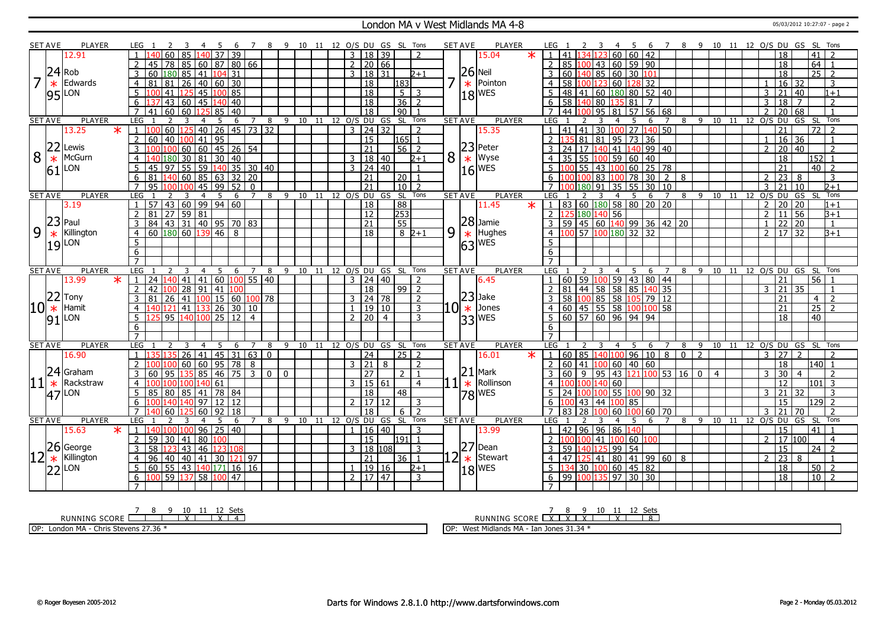#### London MA v West Midlands MA 4-8 05/03/2012 10:27:07 - page 2

|         | <b>SET AVE</b> | <b>PLAYER</b>       | LEG .                                            | -5<br>-6                                       | 8        | -9<br>10 11                  |       |                |                     | 12 O/S DU GS SL Tons  |                |   | <b>SET AVE</b> | <b>PLAYER</b>         | LEG                                         |                              | $\overline{7}$<br>6 | - 8                 |              |                |    |                          | 9 10 11 12 O/S DU GS SL Tons      |                 |                          |
|---------|----------------|---------------------|--------------------------------------------------|------------------------------------------------|----------|------------------------------|-------|----------------|---------------------|-----------------------|----------------|---|----------------|-----------------------|---------------------------------------------|------------------------------|---------------------|---------------------|--------------|----------------|----|--------------------------|-----------------------------------|-----------------|--------------------------|
|         |                | 12.91               |                                                  | 37 39                                          |          |                              |       | $\overline{3}$ | 18 39               |                       | $\overline{z}$ |   |                | 15.04<br>$\ast$       |                                             | 60 60 42                     |                     |                     |              |                |    |                          | 18                                | 41              |                          |
|         |                |                     | 78<br>85                                         | 60   87   80   66                              |          |                              |       | $\overline{2}$ | 20   66             |                       |                |   |                |                       | 85<br>43                                    | 60 59 90                     |                     |                     |              |                |    |                          | 18                                | 64              |                          |
|         | 24             | · Rob               | 85<br>$ 41\rangle$<br>60<br>180                  | 104131                                         |          |                              |       | $\overline{3}$ | 18   31             |                       | $2 + 1$        |   | $26$ Neil      |                       | 85<br>60                                    | 60 30 101                    |                     |                     |              |                |    |                          | 18                                | $\overline{25}$ | 2                        |
| 7       | $\ast$         | Edwards             | $\overline{4}$<br>81<br>81                       | 26 40 60 30                                    |          |                              |       |                | $\overline{18}$     | 183                   |                |   | $\ast$         | Pointon               | 58<br>4                                     | 60                           | 128 32              |                     |              |                |    | $\mathbf{1}$             | 16 32                             |                 | 3                        |
|         |                | LON                 | 5<br>41                                          | 125   45   100   85                            |          |                              |       |                | $\overline{18}$     |                       | $5 \mid 3$     |   |                | $18$ WES              | 5<br>48<br>60<br>41                         | 180 80                       | $52$ 40             |                     |              |                |    | 3                        | $\overline{21}$<br>40             |                 | $1 + 1$                  |
|         | 95             |                     | 43 60 45 140 40<br>6                             |                                                |          |                              |       |                | $\overline{18}$     |                       | $36 \mid 2$    |   |                |                       | 6<br>58<br>80                               | 81                           | $\overline{7}$      |                     |              |                |    | 3                        | $\overline{18}$<br>$\overline{7}$ |                 | $\overline{\phantom{a}}$ |
|         |                |                     | 60<br>$7^{\circ}$<br>41                          | 60 125 85 40                                   |          |                              |       |                | $\overline{18}$     |                       | $90$   1       |   |                |                       | $\overline{7}$<br>44<br>95                  | 81                           | $57$ 56 68          |                     |              |                |    | $\overline{2}$           | $\overline{20}$<br>68             |                 | $\overline{1}$           |
|         | <b>SET AVE</b> | <b>PLAYER</b>       | <b>LEG</b>                                       | 5<br>6<br>7                                    | 8        | 9 10 11 12 O/S DU GS SL Tons |       |                |                     |                       |                |   | <b>SET AVE</b> | <b>PLAYER</b>         | <b>LEG</b>                                  |                              | 6<br>7              |                     |              |                |    | 8 9 10 11 12 O/S DU      | GS                                | <b>SL</b>       | Tons                     |
|         |                | 13.25<br>$\ast$     | 1<br>100                                         | 60 125 40 26 45 73 32                          |          |                              |       |                | $3 \mid 24 \mid 32$ |                       | $\overline{2}$ |   |                | 15.35                 | $\overline{141}$<br>41<br>$\vert$ 1         | 30 100 27 140 50             |                     |                     |              |                |    |                          | 21                                | $\overline{72}$ | $\overline{z}$           |
|         |                |                     | $\overline{2}$<br>100 41 95<br>60<br>40          |                                                |          |                              |       |                | 15                  |                       | 165 1          |   |                |                       | $\overline{2}$                              | 81 81 95 73 36               |                     |                     |              |                |    | $\mathbf{1}$             | 16<br>36                          |                 | $\overline{1}$           |
|         | 22             | Lewis               | 3<br>60                                          | 60   45   26   54                              |          |                              |       |                | $\overline{21}$     |                       | 56 2           |   |                | 23 Peter<br>* Wyse    | 24<br>17                                    | 41                           | .40 99 40           |                     |              |                |    | $\mathcal{P}$            | 20<br>40                          |                 | $\overline{2}$           |
| 8       | $\ast$         | McGurn              | l 81 l<br>30<br>80                               | 30   40                                        |          |                              |       | $\overline{3}$ | 18   40             |                       | $2 + 1$        | 8 |                |                       | 35<br>55                                    | 59 60 40                     |                     |                     |              |                |    |                          | 18                                | 152l            |                          |
|         |                | LON                 | 5<br>45<br>97 <sup>1</sup>                       | $55$   59 $\vert 140 \vert 35$   30   40       |          |                              |       | $\overline{3}$ | 24 40               |                       |                |   |                |                       | 55<br>43                                    |                              | $60$   25<br>178    |                     |              |                |    |                          | 21                                | 40              | 2                        |
|         | 61             |                     | 81<br>40<br>6                                    | $60$ 85 63 32 20                               |          |                              |       |                | $\overline{21}$     | 20                    |                |   |                | $16$ WES              |                                             | 78                           | 30<br><sup>2</sup>  | 8                   |              |                |    | $\overline{2}$           | 23<br>8                           |                 | 3                        |
|         |                |                     | $\overline{7}$<br>95.<br>nn                      | 100   45   99   52  <br>$\Omega$               |          |                              |       |                | $\sqrt{21}$         |                       | 10   2         |   |                |                       | Q1                                          | 35<br>55.                    | 30<br>10            |                     |              |                |    | 3                        | 21<br>10                          |                 | $2+1$                    |
|         | <b>SET AVE</b> | <b>PLAYER</b>       | LEG.<br>3                                        | 5<br>6<br>7                                    | 8        | 9<br>10                      | 11    | 12 0/S DU      |                     | GS SL                 | Tons           |   | <b>SET AVE</b> | <b>PLAYER</b>         | LEG                                         | 5                            | 6<br>7              | 8                   | 9            | 10<br>11       | 12 | $O/S$ DU                 | GS                                | -SL             | Tons                     |
|         |                | 3.19                | 57<br>43   60   99   94   60                     |                                                |          |                              |       |                | 18                  | 88                    |                |   |                | 11.45<br>$\ast$       | 83 60 180 58 80 20 20<br>$\overline{1}$     |                              |                     |                     |              |                |    | 2                        | 20 20                             |                 | $1 + 1$                  |
|         |                |                     | 59 81<br>$\overline{z}$<br>81<br>27              |                                                |          |                              |       |                | $\overline{12}$     | 253                   |                |   |                |                       | 2<br>180                                    | $140$ 56                     |                     |                     |              |                |    | $\overline{2}$           | 56<br>11                          |                 | $B+1$                    |
|         |                | $23$ Paul           | $\mathbf{3}$<br>84                               | 43 31 40 95 70 83                              |          |                              |       |                | $\overline{21}$     | 55                    |                |   |                | $ 28 $ Jamie          | 59 45 60 140 99 36 42 20<br>3               |                              |                     |                     |              |                |    | $\overline{1}$           | 22<br>20                          |                 | $\mathbf{1}$             |
| 9       |                | Killington          | 60<br>180 60 139 46 8<br>$\overline{4}$          |                                                |          |                              |       |                | 18                  |                       | $8 \, 2+1$     | 9 |                | Hughes                | 4                                           | 57 100 180 32 32             |                     |                     |              |                |    | $\overline{2}$           | 17<br>32                          |                 | $B+1$                    |
|         | $\ast$         |                     | $5\overline{)}$                                  |                                                |          |                              |       |                |                     |                       |                |   | $\ast$         |                       | 5                                           |                              |                     |                     |              |                |    |                          |                                   |                 |                          |
|         |                | $19$ <sup>LON</sup> | 6                                                |                                                |          |                              |       |                |                     |                       |                |   |                | $63$ <sup>WES</sup>   |                                             |                              |                     |                     |              |                |    |                          |                                   |                 |                          |
|         |                |                     | $\overline{7}$                                   |                                                |          |                              |       |                |                     |                       |                |   |                |                       | 6                                           |                              |                     |                     |              |                |    |                          |                                   |                 |                          |
|         | <b>SET AVE</b> | <b>PLAYER</b>       | <b>LEG</b><br>$\overline{4}$                     | 5<br>6<br>7                                    | 8        | 9 10 11 12 O/S DU GS SL Tons |       |                |                     |                       |                |   | <b>SET AVE</b> | <b>PLAYER</b>         | <b>LEG</b>                                  |                              | 6<br>$\overline{7}$ |                     | 8 9          |                |    |                          | 10 11 12 0/S DU GS SL             |                 | Tons                     |
|         |                | $\ast$<br>13.99     | 24<br>$\overline{1}$<br>40                       | $41$   $41$   60   100   55   40               |          |                              |       | $\overline{3}$ | 24 40               |                       | $\overline{z}$ |   |                | 6.45                  | 59 100<br>60<br>$\vert$ 1                   |                              | 59 43 80 44         |                     |              |                |    |                          | 21                                | $\overline{56}$ |                          |
|         |                |                     | $\overline{2}$<br>$\vert$ 91<br>42<br>28         | 41                                             |          |                              |       |                | 18                  |                       | $99$   2       |   |                |                       | 44<br>81                                    | 58 58                        | 85 140 35           |                     |              |                |    | 3                        | 21<br>35                          |                 |                          |
|         | 22             | Tony                | 81<br>26<br>41 100<br>3                          | 15 60 100 78                                   |          |                              |       | 3              | 24 78               |                       | $\overline{2}$ |   |                | $ 23 $ Jake           | 58                                          | 85 58 105 79 12              |                     |                     |              |                |    |                          | 21                                | $\overline{4}$  | $\overline{z}$           |
|         | $10*$          | Hamit               |                                                  |                                                |          |                              |       |                |                     |                       |                |   |                |                       |                                             |                              |                     |                     |              |                |    |                          |                                   |                 | $\overline{2}$           |
|         |                |                     |                                                  |                                                |          |                              |       |                |                     |                       |                |   |                |                       |                                             |                              |                     |                     |              |                |    |                          |                                   |                 |                          |
|         |                |                     | $\overline{4}$<br>121                            | $41 \vert 133 \vert 26 \vert 30 \vert 10$      |          |                              |       | $\mathbf{1}$   | 19 10               |                       | $\overline{3}$ |   | $10 \ast $     | Jones                 | 45 55 58 100 100 58<br>60<br>$\overline{4}$ |                              |                     |                     |              |                |    |                          | 21                                | $\overline{25}$ |                          |
|         | 91             | LON                 | 95<br>5                                          | 140 100 25 12<br>$\overline{4}$                |          |                              |       |                | 2 20                | $\overline{4}$        | 3              |   |                | $ 33 $ <sup>WES</sup> | $60$   57   60   96   94   94<br>5          |                              |                     |                     |              |                |    |                          | 18                                | 40              |                          |
|         |                |                     | 6                                                |                                                |          |                              |       |                |                     |                       |                |   |                |                       | 6                                           |                              |                     |                     |              |                |    |                          |                                   |                 |                          |
|         |                |                     | $\overline{7}$                                   |                                                |          |                              |       |                |                     |                       |                |   |                |                       | $\overline{7}$                              |                              |                     |                     |              |                |    |                          |                                   |                 |                          |
|         | <b>SET AVE</b> | <b>PLAYER</b>       | <b>LEG</b><br>4                                  | 5<br>$\overline{7}$<br>6                       | 8        | 9                            | 10 11 | 12 0/S DU      |                     | SL <sub>5</sub><br>GS | Tons           |   | <b>SET AVE</b> | <b>PLAYER</b>         | <b>LEG</b>                                  | 5<br>4                       | 6<br>7              | 8                   | 9            | 10<br>11       |    |                          | 12 O/S DU GS                      |                 | SL Tons                  |
|         |                | 16.90               | -1<br>35<br>35                                   | $26 \mid 41 \mid 45 \mid 31 \mid 63 \mid 0$    |          |                              |       |                | 24                  |                       | $25 \mid 2$    |   |                | 16.01<br>$\ast$       | 60 85 140 100<br>$\vert$ 1                  | 96                           | 10 8                | $\mathbf 0$         | 2            |                |    | 3                        | $\overline{27}$<br>$\mathcal{P}$  |                 | 2                        |
|         |                |                     | $\overline{2}$<br>60                             | $\boxed{60}$   95   78<br>8                    |          |                              |       |                | $3 \mid 21$         | 8                     | $\overline{z}$ |   |                |                       | $\mathcal{L}$<br>60<br>41                   | 60   40   60                 |                     |                     |              |                |    |                          | 18                                | 140 1           |                          |
|         | 24             | Graham              | 3<br>60<br>95                                    | 85   46   75<br>$\mathcal{E}$                  | $\Omega$ | $\Omega$                     |       |                | $\overline{27}$     |                       | $2 \mid 1$     |   |                | Mark                  | $\mathsf{Q}$<br>60<br>95                    | 43                           | 121 100             | $53 \mid 16 \mid 0$ |              | $\overline{4}$ |    | 3                        | 30 <sup>°</sup><br>$\overline{4}$ |                 | $\mathcal{P}$            |
|         |                | Rackstraw           | 4                                                | 61                                             |          |                              |       | 3              | 15   61             |                       | $\overline{4}$ |   | $\frac{21}{*}$ | Rollinson             |                                             | 60                           |                     |                     |              |                |    |                          | 12                                | 101 3           |                          |
|         | 47             | <b>LON</b>          | 5<br>85<br>80   85   41   78   84                |                                                |          |                              |       |                | 18                  | 48                    |                |   |                | 78 WES                | 5<br>24                                     | 55                           | $90 \, 32$          |                     |              |                |    | $\overline{3}$           | $\overline{21}$<br>32             |                 | 3                        |
| $ 11 *$ |                |                     | 6<br>40<br>140 97                                | 12   12                                        |          |                              |       | $\mathcal{P}$  | 17 12               |                       | 3              |   |                |                       | 43<br>44                                    | 100<br>85                    |                     |                     |              |                |    |                          | 15                                | 129 2           |                          |
|         |                |                     | $\overline{7}$<br>60<br>60                       | 92   18                                        |          |                              |       |                | 18                  | 6                     | $\overline{2}$ |   |                |                       | 28<br>$\overline{7}$<br>83                  | 60<br>100                    | 70<br>60            |                     |              |                |    | 3                        | 21<br>70                          |                 |                          |
|         | <b>SET AVE</b> | <b>PLAYER</b>       | <b>LEG</b>                                       | 5<br>6<br>$\overline{7}$                       | 8        | $\mathsf{Q}$<br>10           | 11    | 12 0/S DU      |                     | GS                    | SL Tons        |   | <b>SET AVE</b> | <b>PLAYER</b>         | LEG                                         | 5                            | 6<br>$\overline{7}$ | 8                   | $\mathsf{q}$ | 10<br>11       |    |                          | 12 O/S DU GS SL                   |                 | Tons                     |
|         |                | 15.63<br>$\ast$     | 96<br>00<br>$\mathbf{1}$                         | 25 40                                          |          |                              |       | -1             | 16                  | $\overline{40}$       | 3              |   |                | 13.99                 | $42 \mid 96$<br>96<br>$\overline{1}$        | 86<br>140                    |                     |                     |              |                |    |                          | 15                                | 41              |                          |
|         |                |                     | $\overline{59}$<br>$\overline{2}$<br>30<br>41 80 | 0 <sub>0</sub>                                 |          |                              |       |                | 15                  |                       | 191 1          |   |                |                       | 41                                          |                              | 60 100              |                     |              |                |    | $\overline{2}$           | 17 100                            |                 | $\overline{4}$           |
|         |                | 26 George           | $\overline{3}$<br> 43 46<br>58<br>23             | 123108                                         |          |                              |       |                | 3   18   108        |                       | $\overline{3}$ |   | 27             | Dean                  | 3<br>59 I                                   | $\overline{99}$ 54           |                     |                     |              |                |    |                          | 15                                | $\overline{24}$ | $\overline{2}$           |
| 12      | $\ast$         | Killington          | $\overline{96}$<br>40<br>$\overline{4}$          | 40 41 30 121 97                                |          |                              |       |                | 21                  |                       | $36$   1       |   | $\ast$         | Stewart               | 47<br>4                                     | $41 \ 80 \ 41 \ 99 \ 60 \ 8$ |                     |                     |              |                |    | $\overline{\phantom{0}}$ | 23<br>8                           |                 | $\overline{1}$           |
|         |                | LON                 | 5<br>60                                          | $55 \mid 43 \mid 140 \mid 171 \mid 16 \mid 16$ |          |                              |       | $\mathbf{1}$   | 19 16               |                       | $2+1$          |   |                |                       | 5                                           | 30 100 60 45 82              |                     |                     |              |                |    |                          | 18                                | $50$   2        |                          |
|         | 22             |                     | 59 137 58 100 47<br>6<br>100                     |                                                |          |                              |       |                | 2   17   47         |                       | $\mathbf{3}$   |   |                | $18$ <sup>WES</sup>   | 99 100 135 97 30 30<br>6                    |                              |                     |                     |              |                |    |                          | 18                                | $10 \mid 2$     |                          |

RUNNING SCORE 7 8 9 10 X 11 12 X Sets 4 OP: London MA - Chris Stevens 27.36 \*

RUNNING SCORE 7 X 8 X 9 X 10 11 X 12 Sets 8 OP: West Midlands MA - Ian Jones 31.34 \*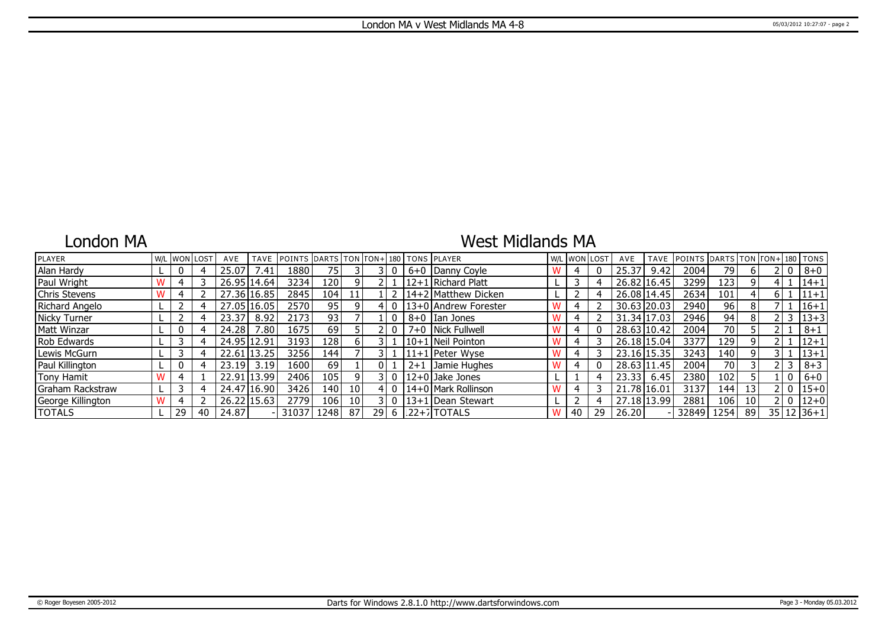### London MA

### West Midlands MA

| PLAYER            |   |    | W/L WON LOST | AVE         | TAVE        | <b>IPOINTS DARTS TON FON+1180 TONS PLAYER</b> |                 |          |      |       |                      | W/L WON LOST |    | AVE         | <b>TAVE</b> | POINTS DARTS TON TON+ |                  |                 |     |              | $180$ TONS   |
|-------------------|---|----|--------------|-------------|-------------|-----------------------------------------------|-----------------|----------|------|-------|----------------------|--------------|----|-------------|-------------|-----------------------|------------------|-----------------|-----|--------------|--------------|
| Alan Hardy        |   |    |              | 25.07       | 7.41        | 1880                                          | 75              |          |      |       | 6+0 Danny Coyle      | 4            |    | 25.37       | 9.42        | 2004                  | 79               |                 |     | 0            | $8 + 0$      |
| Paul Wright       | w |    |              |             | 26.95 14.64 | 3234                                          | 120             |          |      |       | 12+1 Richard Platt   |              |    | 26.82 16.45 |             | 3299                  | $\overline{123}$ | 9               |     | 4 I 1        | $14 + 1$     |
| Chris Stevens     |   |    |              |             | 27.36 16.85 | 2845                                          | 104             |          |      |       | 14+2 Matthew Dicken  |              |    | 26.08 14.45 |             | 2634                  | 101              |                 | 6 I |              | $11 + 1$     |
| Richard Angelo    |   |    |              |             | 27.05 16.05 | 2570                                          | 95              | $\Omega$ |      |       | 13+0 Andrew Forester | 4            |    | 30.63 20.03 |             | 2940                  | 96               | 8               |     |              | $16 + 1$     |
| Nicky Turner      |   |    |              | 23.37       | 8.92        | 2173                                          | 93 <sub>1</sub> |          |      |       | 8+0   Ian Jones      | 4            |    | 31.34 17.03 |             | 2946                  | 94               | 8               |     |              | $13 + 3$     |
| Matt Winzar       |   | 0  |              | 24.28       | 7.80        | 1675                                          | 69              |          |      |       | 7+0 Nick Fullwell    | 4            |    | 28.63 10.42 |             | 2004                  | 70               |                 |     |              | $8 + 1$      |
| Rob Edwards       |   |    |              | 24.95 12.91 |             | 3193                                          | 128             |          |      |       | 10+1 Neil Pointon    | 4            |    | 26.18 15.04 |             | 3377                  | ا 291            | 9               |     |              | $12 + 1$     |
| Lewis McGurn      |   |    |              | 22.61       | 113<br>.25  | 3256                                          | 144             |          |      |       | l11+1lPeter Wyse     | 4            |    | 23.16 15.35 |             | 3243                  | 140              | 9               |     |              | $13 + 1$     |
| Paul Killington   |   | 0  |              | 23.19       | 3.19        | 1600                                          | 69              |          |      | $2+1$ | Jamie Hughes         | 4            |    | 28.63 11.45 |             | 2004                  | 70               |                 |     |              | $8 + 3$      |
| Tony Hamit        |   |    |              |             | 22.91 13.99 | 2406                                          | 105             | a        |      |       | 12+0 Jake Jones      |              |    | 23.33       | 6.45        | 2380                  | 102              |                 |     | $\mathbf{0}$ | $6 + 0$      |
| Graham Rackstraw  |   |    |              | 24.47 16.90 |             | 3426                                          | 140             | 10       |      |       | 14+0 Mark Rollinson  | 4            |    | 21.78 16.01 |             | 3137                  | 144              | 13              |     | - 0          | $15+0$       |
| George Killington | W |    |              | 26.22 15.63 |             | 2779                                          | 106             | 10       |      |       | 13+1 Dean Stewart    |              |    | 27.18 13.99 |             | 2881                  | 106              | 10 <sup>1</sup> |     | 0            | $12+0$       |
| <b>TOTALS</b>     |   | 29 | 40           | 24.87       |             | 31037                                         | 1248            | 87       | 29 l |       | $6$  22+7 TOTALS     | 40           | 29 | 26.20       |             | 32849                 | 1254             | 89              |     |              | $35 12 36+1$ |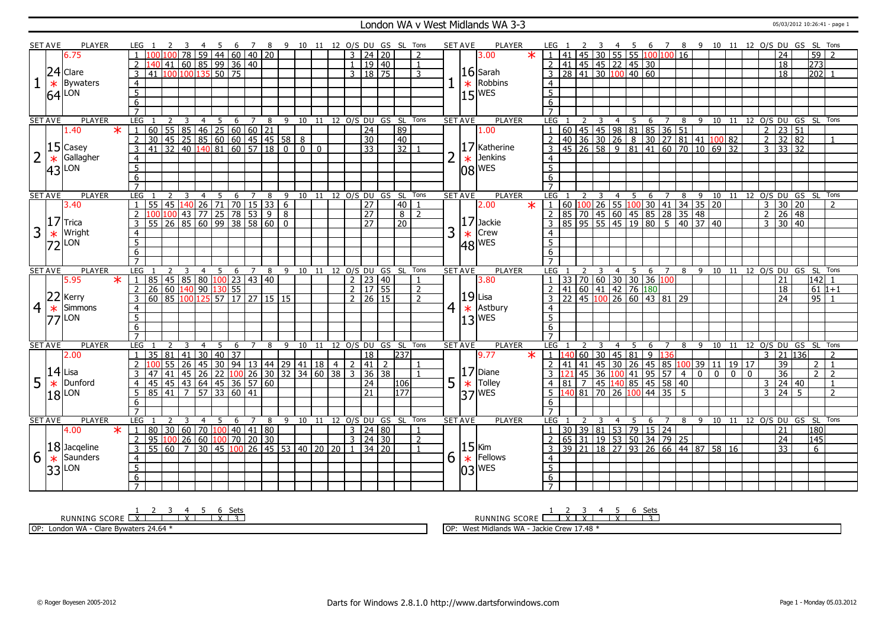#### London WA v West Midlands WA 3-3 05/03/2012 10:26:41 - page 1

|                | SET AVE        | <b>PLAYER</b>             | LEG 1                                                              |     |                | 4 5 6 7 8 9 10 11 12 O/S DU GS SL Tons |                     |   |              |                      |  |                         |                     |                              |                |                | <b>SET AVE</b>                  | PLAYER        | LEG 1                         |                     | - 3            |                                                                                                                            |                                     |                 |                |                 |                |                |                |            |                         |                      |                                | 4 5 6 7 8 9 10 11 12 O/S DU GS SL Tons |  |
|----------------|----------------|---------------------------|--------------------------------------------------------------------|-----|----------------|----------------------------------------|---------------------|---|--------------|----------------------|--|-------------------------|---------------------|------------------------------|----------------|----------------|---------------------------------|---------------|-------------------------------|---------------------|----------------|----------------------------------------------------------------------------------------------------------------------------|-------------------------------------|-----------------|----------------|-----------------|----------------|----------------|----------------|------------|-------------------------|----------------------|--------------------------------|----------------------------------------|--|
|                |                | 6.75                      |                                                                    |     |                | 78 59 44 60 40 20                      |                     |   |              |                      |  |                         | $3 \mid 24 \mid 20$ |                              | $\overline{2}$ |                | 3.00                            | $\ast$        | $\overline{1}$                | 41                  | 45<br>30       |                                                                                                                            | 55 55 100 100 16                    |                 |                |                 |                |                |                |            |                         | 24                   |                                | 59                                     |  |
|                |                |                           |                                                                    |     |                |                                        |                     |   |              |                      |  | $\mathbf{1}$            | 19 40               |                              |                |                |                                 |               |                               |                     |                | 2 41 45 45 22 45 30                                                                                                        |                                     |                 |                |                 |                |                |                |            |                         | $\overline{18}$      | $\sqrt{273}$                   |                                        |  |
|                |                | $24$ Clare                | 140 41 60 85 99 36 40<br>41 100 100 135 50 75<br>3                 |     |                |                                        |                     |   |              |                      |  | 3 <sup>1</sup>          | 18 75               |                              | 3              |                | $16$ Sarah                      |               | 3                             |                     |                |                                                                                                                            |                                     |                 |                |                 |                |                |                |            |                         | 18                   | 202                            |                                        |  |
| $\mathbf{1}$   |                | <b>Bywaters</b>           |                                                                    |     |                |                                        |                     |   |              |                      |  |                         |                     |                              |                |                | Robbins                         |               |                               |                     |                |                                                                                                                            |                                     |                 |                |                 |                |                |                |            |                         |                      |                                |                                        |  |
|                | $\frac{*}{64}$ |                           | $\overline{4}$                                                     |     |                |                                        |                     |   |              |                      |  |                         |                     |                              |                |                | $\ast$                          |               | $\overline{4}$                |                     |                |                                                                                                                            |                                     |                 |                |                 |                |                |                |            |                         |                      |                                |                                        |  |
|                |                | LON                       | 5                                                                  |     |                |                                        |                     |   |              |                      |  |                         |                     |                              |                |                | $15$ WES                        |               | $5^{\circ}$                   |                     |                |                                                                                                                            |                                     |                 |                |                 |                |                |                |            |                         |                      |                                |                                        |  |
|                |                |                           | 6                                                                  |     |                |                                        |                     |   |              |                      |  |                         |                     |                              |                |                |                                 |               | 6                             |                     |                |                                                                                                                            |                                     |                 |                |                 |                |                |                |            |                         |                      |                                |                                        |  |
|                |                |                           | $\overline{7}$                                                     |     |                |                                        |                     |   |              |                      |  |                         |                     |                              |                |                |                                 |               | $\overline{7}$                |                     |                |                                                                                                                            |                                     |                 |                |                 |                |                |                |            |                         |                      |                                |                                        |  |
|                | <b>SET AVE</b> | <b>PLAYER</b>             | <b>LEG</b>                                                         |     |                |                                        |                     |   |              |                      |  | 9 10 11 12 0/S DU GS SL |                     |                              | Tons           |                | <b>SET AVE</b><br><b>PLAYER</b> |               | LEG                           |                     |                | 1 2 3 4 5 6 7 8 9 10 11<br>160 45 45 98 81 85 36 51<br>40 36 30 26 8 30 27 81 41 100 82<br>45 26 58 9 81 41 60 70 10 69 32 |                                     |                 |                |                 |                |                |                |            |                         |                      | 10 11 12 O/S DU GS SL Tons     |                                        |  |
|                |                | $\overline{\ast}$<br>1.40 | $\overline{1}$                                                     |     |                |                                        |                     |   |              |                      |  |                         | $\overline{24}$     | $\overline{89}$              |                |                | 1.00                            |               | $\mathbf{1}$                  |                     |                |                                                                                                                            |                                     |                 |                |                 |                |                |                |            |                         | $\frac{2}{2}$ 23 51  |                                |                                        |  |
|                |                |                           | $30   45   25   85   60   60   45   45   58   8$<br>$\overline{2}$ |     |                |                                        |                     |   |              |                      |  |                         | $\overline{30}$     | $\overline{40}$              |                |                |                                 |               | $\overline{2}$                |                     |                |                                                                                                                            |                                     |                 |                |                 |                |                |                |            |                         | $2 \mid 32 \mid 82$  |                                | $\overline{1}$                         |  |
|                |                | $15$ Casey                | $\frac{1}{41}$ 32 40 140 81 60 57 18 0 0 0<br>$\overline{3}$       |     |                |                                        |                     |   |              |                      |  |                         | $\overline{33}$     | $\overline{32}$              |                |                | 17 Katherine                    |               |                               |                     |                |                                                                                                                            |                                     |                 |                |                 |                |                |                |            |                         | $3 \mid 33 \mid 32$  |                                |                                        |  |
| $\overline{2}$ | $\ast$         | Gallagher                 | $\overline{4}$                                                     |     |                |                                        |                     |   |              |                      |  |                         |                     |                              |                | 2              | Jenkins<br>$\ast$               |               | $\overline{4}$                |                     |                |                                                                                                                            |                                     |                 |                |                 |                |                |                |            |                         |                      |                                |                                        |  |
|                |                | LON                       | $\overline{5}$                                                     |     |                |                                        |                     |   |              |                      |  |                         |                     |                              |                |                |                                 |               | $\overline{5}$                |                     |                |                                                                                                                            |                                     |                 |                |                 |                |                |                |            |                         |                      |                                |                                        |  |
|                | 43             |                           | 6                                                                  |     |                |                                        |                     |   |              |                      |  |                         |                     |                              |                |                | $ 08 $ <sup>WES</sup>           |               | 6                             |                     |                |                                                                                                                            |                                     |                 |                |                 |                |                |                |            |                         |                      |                                |                                        |  |
|                |                |                           | $\overline{7}$                                                     |     |                |                                        |                     |   |              |                      |  |                         |                     |                              |                |                |                                 |               |                               |                     |                |                                                                                                                            |                                     |                 |                |                 |                |                |                |            |                         |                      |                                |                                        |  |
|                |                |                           |                                                                    |     |                |                                        |                     |   |              |                      |  |                         |                     |                              |                |                |                                 |               |                               |                     |                |                                                                                                                            |                                     |                 |                |                 |                |                |                |            |                         |                      |                                |                                        |  |
|                | <b>SET AVE</b> | <b>PLAYER</b>             | LEG<br>55 45 140 26 71 70 15 33 6<br>$\overline{1}$                | 3   | $\overline{4}$ | 5 <sup>5</sup>                         | 6<br>$\overline{7}$ | 8 |              |                      |  |                         | $\overline{27}$     | 9 10 11 12 O/S DU GS SL Tons |                |                | <b>SET AVE</b>                  | <b>PLAYER</b> | <b>LEG</b>                    |                     |                | 3<br>$\overline{4}$                                                                                                        |                                     | $5\overline{6}$ | $\overline{7}$ | 8               |                |                |                |            |                         | $3 \ 30 \ 20$        | 9 10 11 12 O/S DU GS SL Tons   | $\mathcal{P}$                          |  |
|                |                | 3.40                      |                                                                    |     |                |                                        |                     |   |              |                      |  |                         |                     | 40                           |                |                | 2.00                            | $\ast$        | $\mathbf{1}$                  |                     |                | 160 100 26 55 100 30 41 34 35 20<br>85 70 45 60 45 85 28 35 48<br>85 95 55 45 19 80 5 40 37 40                             |                                     |                 |                |                 |                |                |                |            |                         |                      |                                |                                        |  |
|                | 17             |                           | $\overline{2}$                                                     |     |                |                                        |                     |   |              |                      |  |                         | $\overline{27}$     | $\overline{8}$               | $\overline{2}$ |                | 17                              |               | $\overline{2}$                |                     |                |                                                                                                                            |                                     |                 |                |                 |                |                |                |            |                         | $2 \mid 26 \mid 48$  |                                |                                        |  |
|                |                | Trica                     | $\overline{3}$                                                     |     |                |                                        |                     |   |              |                      |  |                         | 27                  | $\overline{20}$              |                |                | Jackie                          |               | $\overline{3}$                |                     |                |                                                                                                                            |                                     |                 |                |                 |                |                |                |            |                         | $3 \mid 30 \mid 40$  |                                |                                        |  |
| 3              | $\frac{*}{72}$ | Wright                    | $\overline{4}$                                                     |     |                |                                        |                     |   |              |                      |  |                         |                     |                              |                | 3              | Crew<br>$\frac{1}{48}$ Crew     |               | $\overline{4}$                |                     |                |                                                                                                                            |                                     |                 |                |                 |                |                |                |            |                         |                      |                                |                                        |  |
|                |                | LON                       | 5                                                                  |     |                |                                        |                     |   |              |                      |  |                         |                     |                              |                |                |                                 |               | 5                             |                     |                |                                                                                                                            |                                     |                 |                |                 |                |                |                |            |                         |                      |                                |                                        |  |
|                |                |                           | 6                                                                  |     |                |                                        |                     |   |              |                      |  |                         |                     |                              |                |                |                                 |               | 6                             |                     |                |                                                                                                                            |                                     |                 |                |                 |                |                |                |            |                         |                      |                                |                                        |  |
|                |                |                           | $\overline{7}$                                                     |     |                |                                        |                     |   |              |                      |  |                         |                     |                              |                |                |                                 |               | $\overline{7}$                |                     |                |                                                                                                                            |                                     |                 |                |                 |                |                |                |            |                         |                      |                                |                                        |  |
| <b>SET AVE</b> |                |                           |                                                                    |     |                |                                        |                     |   |              |                      |  |                         |                     |                              |                |                |                                 |               |                               |                     |                | $\overline{4}$                                                                                                             |                                     |                 |                |                 |                |                |                |            |                         |                      | 8 9 10 11 12 O/S DU GS SL Tons |                                        |  |
|                |                | <b>PLAYER</b>             | LEG                                                                |     |                | 4 5 6 7 8 9 10 11 12 O/S DU GS SL Tons |                     |   |              |                      |  |                         |                     |                              |                | <b>SET AVE</b> |                                 | <b>PLAYER</b> | LEG                           |                     |                |                                                                                                                            | - 5                                 |                 | $\overline{7}$ |                 |                |                |                |            |                         |                      |                                |                                        |  |
|                |                | $\ast$<br>5.95            | $\vert$ 1                                                          |     |                |                                        |                     |   |              |                      |  |                         |                     |                              |                |                | 3.80                            |               | $\overline{1}$                |                     |                |                                                                                                                            |                                     | $\overline{6}$  |                |                 |                |                |                |            |                         | 21                   |                                |                                        |  |
|                |                |                           | 85   45   85   80   <mark>100</mark>   23   43   40                |     |                |                                        |                     |   |              |                      |  |                         | $2 \mid 23 \mid 40$ |                              | $\overline{z}$ |                |                                 |               |                               |                     |                |                                                                                                                            |                                     |                 |                |                 |                |                |                |            |                         |                      |                                | 142                                    |  |
|                |                |                           | 26 60 140 90 130 55<br>$\overline{2}$                              |     |                |                                        |                     |   |              |                      |  | 2                       | 17 55               |                              | $\mathcal{L}$  |                |                                 |               |                               |                     |                | 33 70 60 30 30 36 100                                                                                                      |                                     |                 |                |                 |                |                |                |            |                         | 18                   |                                | $61 1+1$                               |  |
|                | 22             | Kerry                     | 60   85   <mark>100</mark>   125   57   17   27   15   15<br>3     |     |                |                                        |                     |   |              |                      |  |                         | 26 15               |                              |                |                | $ 19 $ Lisa                     |               | 3                             |                     |                | 22 45 100 26 60 43 81 29                                                                                                   |                                     |                 |                |                 |                |                |                |            |                         | 24                   |                                | 95                                     |  |
| 4              | $\ast$         | Simmons                   | $\overline{4}$                                                     |     |                |                                        |                     |   |              |                      |  |                         |                     |                              |                | 4              | Astbury<br>$\ast$               |               | $\overline{4}$                |                     |                |                                                                                                                            |                                     |                 |                |                 |                |                |                |            |                         |                      |                                |                                        |  |
|                | 77             | LON                       | $5\overline{)}$                                                    |     |                |                                        |                     |   |              |                      |  |                         |                     |                              |                |                | $13$ WES                        |               | 5 <sup>2</sup>                |                     |                |                                                                                                                            |                                     |                 |                |                 |                |                |                |            |                         |                      |                                |                                        |  |
|                |                |                           | $6\overline{6}$                                                    |     |                |                                        |                     |   |              |                      |  |                         |                     |                              |                |                |                                 |               | 6                             |                     |                |                                                                                                                            |                                     |                 |                |                 |                |                |                |            |                         |                      |                                |                                        |  |
|                |                |                           | $\overline{7}$                                                     |     |                |                                        |                     |   |              |                      |  |                         |                     |                              |                |                |                                 |               | $\overline{7}$                |                     |                |                                                                                                                            |                                     |                 |                |                 |                |                |                |            |                         |                      |                                |                                        |  |
|                | <b>SET AVE</b> | PLAYER                    | <b>LEG</b>                                                         |     | $\overline{4}$ | 5                                      | 6                   | 8 | $\mathsf{q}$ |                      |  | 10 11 12 O/S DU GS SL   |                     |                              | Tons           |                | PLAYER<br><b>SET AVE</b>        |               | <b>LEG</b>                    |                     |                | $\overline{4}$                                                                                                             | 5                                   | 6               | 7              | 8               | $\mathsf{q}$   | 10             | 11             |            |                         |                      | 12 O/S DU GS SL                | Tons                                   |  |
|                |                | 2.00                      | 35 81 41 30 40 37<br>(1)                                           |     |                |                                        |                     |   |              |                      |  |                         | $\overline{18}$     | 237                          |                |                | 9.77                            | $\ast$        | $1\vert1$                     |                     | 60             | 30                                                                                                                         | 45 81                               | $\overline{9}$  | 136            |                 |                |                |                |            |                         | $3 \mid 21 \mid 136$ |                                | $\overline{2}$                         |  |
|                |                |                           | $\overline{2}$                                                     |     |                | 55 26 45 30 94 13 44 29 41 18 4        |                     |   |              |                      |  | $\mathcal{P}$           | $\vert 41 \vert 2$  |                              |                |                |                                 |               | $2 \mid 41$                   | 41                  | 45             |                                                                                                                            | 30 26 45 85 100 39                  |                 |                |                 |                |                |                | $11$ 19 17 |                         | $\overline{39}$      |                                | $\overline{1}$<br>$\overline{2}$       |  |
|                | $14$ Lisa      |                           |                                                                    |     |                | 41 45 26 22 100 26 30 32 34 60 38      |                     |   |              |                      |  | 3                       | 36 38               |                              |                |                | 17 Diane                        |               | $\mathbf{3}$                  |                     | 45             | 36<br>100                                                                                                                  | 41                                  | 95 57           |                | $\overline{4}$  | $\overline{0}$ | $\overline{0}$ | $\overline{0}$ | $\Omega$   |                         | 36                   |                                | $\overline{2}$<br>$\overline{z}$       |  |
|                |                | Dunford                   | 45<br>$\overline{4}$                                               |     |                | 45 43 64 45 36 57 60                   |                     |   |              |                      |  |                         | $\overline{24}$     | 106                          |                |                | Tolley                          |               | $\overline{4}$                | 81                  | $\overline{7}$ | 45                                                                                                                         |                                     |                 |                |                 |                |                |                |            |                         | $3 \mid 24 \mid 40$  |                                | $\overline{1}$                         |  |
| 5              | $\ast$         |                           | $85 \mid 41 \mid$<br>5                                             | 7 I |                |                                        |                     |   |              |                      |  |                         | 21                  | 177                          |                | 5              | $\ast$                          |               |                               |                     |                |                                                                                                                            | <mark>140</mark> 85 45 58 40<br>100 |                 |                | $5\overline{5}$ |                |                |                |            | $\overline{\mathbf{3}}$ | $\overline{24}$      | -5                             | $\overline{2}$                         |  |
|                | 18             | LON                       |                                                                    |     |                | $\overline{57}$ 33 60 41               |                     |   |              |                      |  |                         |                     |                              |                |                | $ 37 $ WES                      |               | 5                             | 140 81              |                | 70<br>26                                                                                                                   |                                     | 44              | 35             |                 |                |                |                |            |                         |                      |                                |                                        |  |
|                |                |                           | 6                                                                  |     |                |                                        |                     |   |              |                      |  |                         |                     |                              |                |                |                                 |               | -6                            |                     |                |                                                                                                                            |                                     |                 |                |                 |                |                |                |            |                         |                      |                                |                                        |  |
|                |                |                           | $\overline{7}$                                                     |     |                |                                        |                     |   |              |                      |  |                         |                     |                              |                |                |                                 |               |                               |                     |                |                                                                                                                            |                                     |                 |                |                 |                |                |                |            |                         |                      |                                |                                        |  |
|                | <b>SET AVE</b> | <b>PLAYER</b>             | <b>LEG</b>                                                         |     | $\overline{4}$ | 5                                      | 6<br>$\overline{7}$ | 8 |              | $\overline{9}$ 10 11 |  |                         |                     | 12 O/S DU GS SL Tons         |                |                | <b>SET AVE</b>                  | <b>PLAYER</b> | LEG                           |                     | $\overline{2}$ | 3<br>$\overline{4}$                                                                                                        | 5                                   | 6               | $7^{\circ}$    | 8               | 9              | 10             | 11             |            |                         |                      | 12 O/S DU GS SL Tons           |                                        |  |
|                |                | $\ast$<br>4.00            | $\overline{1}$<br>80 l                                             |     |                | 30 60 70 100 40 41 80                  |                     |   |              |                      |  |                         | $3 \mid 24 \mid 80$ |                              |                |                |                                 |               | $\mathbf{1}$                  | 30                  |                | 39 81 53 79 15 24                                                                                                          |                                     |                 |                |                 |                |                |                |            |                         | $\overline{21}$      | 180                            |                                        |  |
|                |                |                           | 95<br>$\overline{2}$                                               |     |                | $100$ 26 60 100 70 20 30               |                     |   |              |                      |  |                         | $3 \ 24 \ 30$       |                              | $\overline{2}$ |                |                                 |               | $\overline{2}$                | $65 \overline{)31}$ |                |                                                                                                                            |                                     |                 |                |                 |                |                |                |            |                         | $\overline{24}$      | 145                            |                                        |  |
|                |                | $18$ Jacqeline            | 55 60 7 30 45 100 26 45 53 40 20 20<br>$\overline{3}$              |     |                |                                        |                     |   |              |                      |  | 1 <sup>1</sup>          | 34 20               |                              |                |                | $15$ Kim                        |               | $\overline{3}$                | $39 \ 21$           |                | $\frac{19}{19}$ 53 50 34 79 25<br>18 27 93 26 66 44 87 58 16                                                               |                                     |                 |                |                 |                |                |                |            |                         | $\overline{33}$      | 6                              |                                        |  |
| 6              | $\ast$         | Saunders                  | $\overline{4}$                                                     |     |                |                                        |                     |   |              |                      |  |                         |                     |                              |                | 6              | Fellows<br>$\ast$               |               | $\overline{4}$                |                     |                |                                                                                                                            |                                     |                 |                |                 |                |                |                |            |                         |                      |                                |                                        |  |
|                |                |                           | $\overline{5}$                                                     |     |                |                                        |                     |   |              |                      |  |                         |                     |                              |                |                |                                 |               | $\overline{5}$                |                     |                |                                                                                                                            |                                     |                 |                |                 |                |                |                |            |                         |                      |                                |                                        |  |
|                |                | $33$ LON                  | 6<br>$\overline{7}$                                                |     |                |                                        |                     |   |              |                      |  |                         |                     |                              |                |                | $ 03 $ <sup>WES</sup>           |               | $\overline{6}$<br>$7^{\circ}$ |                     |                |                                                                                                                            |                                     |                 |                |                 |                |                |                |            |                         |                      |                                |                                        |  |

RUNNING SCORE 1 X 2 3 4 X 5 6 X Sets 3

OP: London WA - Clare Bywaters 24.64 \*

RUNNING SCORE 1 2 X 3 X 4 5 X 6 Sets 3

OP: West Midlands WA - Jackie Crew 17.48 \*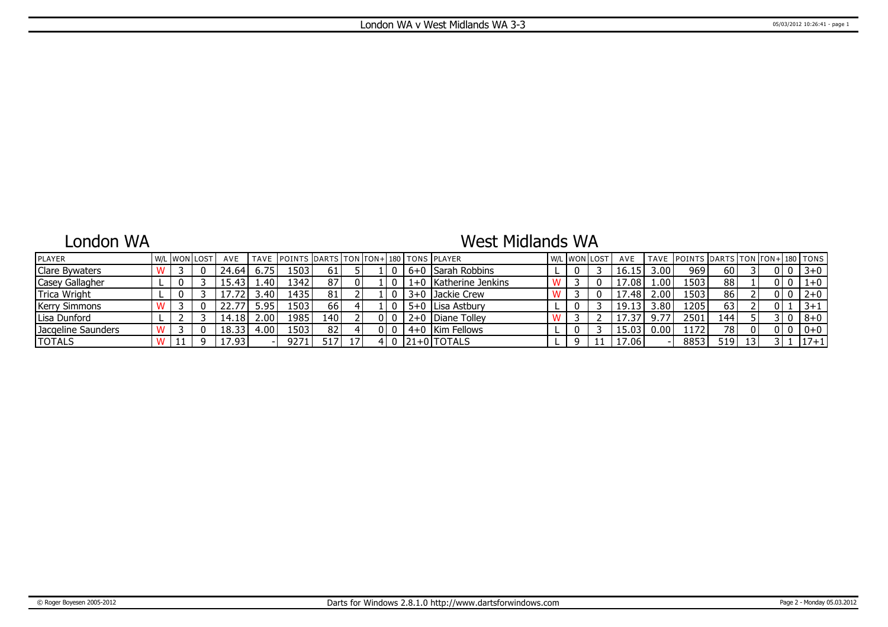# London WA

# West Midlands WA

| <b>IPLAYER</b>       |  | <b>W/L WON LOST</b> | AVE    |                   | TAVE POINTS DARTS TON FON+1180 TONS PLAYER |       |  |  |                        | <b>W/L WON LOST</b> | AVE   |       | TAVE POINTS DARTS TON TON+ 180 TONS |      |    |     |          |
|----------------------|--|---------------------|--------|-------------------|--------------------------------------------|-------|--|--|------------------------|---------------------|-------|-------|-------------------------------------|------|----|-----|----------|
| Clare Bywaters       |  |                     | 24.64  | 6.75I             | .503                                       | 61    |  |  | 6+0 Sarah Robbins      |                     | 16.15 | 3.001 | 969                                 | 60   |    |     | $3 + 0$  |
| Casey Gallagher      |  |                     | 15.43' | 4.401             | 1342                                       | 87    |  |  | 1+0  Katherine Jenkins |                     | 17.08 | .001  | 1503                                | 88   |    |     | $1+0$    |
| Trica Wright         |  |                     |        | 3.40              | 1435                                       | 81    |  |  | 3+0 Jackie Crew        |                     | 17.48 | 2.00  | 1503                                | 86   |    |     | $2+0$    |
| <b>Kerry Simmons</b> |  |                     |        | 5.95              | .503                                       | 66    |  |  | 5+0 Lisa Astbury       |                     | 19.13 | .80   | .205                                | 63   |    | 0 I | $3 + 1$  |
| Lisa Dunford         |  |                     | 14.18  | 2.00 <sup>1</sup> | 1985                                       | 140 l |  |  | 2+0 Diane Tolley       |                     | 17.37 | 9.77  | 2501                                | 144' |    |     | $8 + 0$  |
| Jacgeline Saunders   |  |                     | 18.33  | 4.00              | 1503                                       | 82    |  |  | 4+0   Kim Fellows      |                     | 15.03 | 0.001 | 1172                                | 78   |    |     | $0+0$    |
| <b>TOTALS</b>        |  |                     | 7.93.  |                   | 9271                                       |       |  |  | $ 21+0 $ TOTALS        |                     | 17.06 |       | 8853                                | 519  | 13 |     | $17 + 1$ |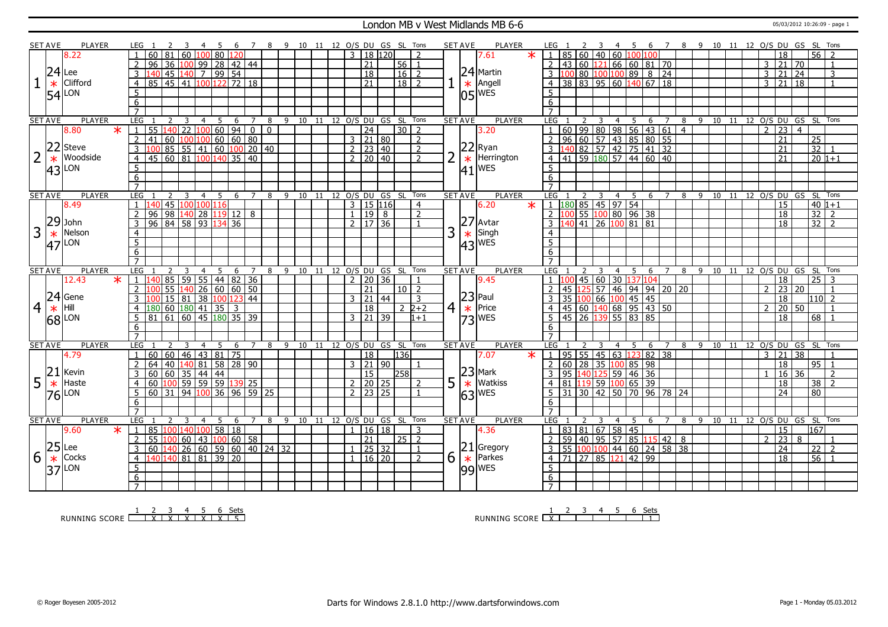#### London MB v West Midlands MB 6-6 05/03/2012 10:26:09 - page 1

|                | SET AVE        | PLAYER                    | LEG                 |                                                                          |                              |                          |                |          |                |                | 8 9 10 11 12 O/S DU GS SL Tons |    |  |              |                                |                              |                |   | <b>SET AVE</b>  | <b>PLAYER</b>                                                                             | LEG                                        |                 |         |   |                |                                         | $\overline{7}$<br>- 6                |   |           |  | 8 9 10 11 12 O/S DU GS SL Tons |                     |                 |                 |                                   |  |
|----------------|----------------|---------------------------|---------------------|--------------------------------------------------------------------------|------------------------------|--------------------------|----------------|----------|----------------|----------------|--------------------------------|----|--|--------------|--------------------------------|------------------------------|----------------|---|-----------------|-------------------------------------------------------------------------------------------|--------------------------------------------|-----------------|---------|---|----------------|-----------------------------------------|--------------------------------------|---|-----------|--|--------------------------------|---------------------|-----------------|-----------------|-----------------------------------|--|
|                |                | 8.22                      |                     | 60<br>81                                                                 | 60                           |                          | $ 80\rangle$   | 120      |                |                |                                |    |  |              | 3   18   120                   |                              | $\overline{2}$ |   |                 | $\star$<br>7.61                                                                           | 85                                         |                 | $60$ 40 |   | 60             | 100                                     | 100                                  |   |           |  |                                | 18                  |                 |                 | $\overline{56}$<br>$\overline{2}$ |  |
|                |                |                           | 2                   | $\overline{36}$<br>96                                                    | $ 100 $ 99                   |                          |                | 28 42 44 |                |                |                                |    |  |              | 21                             | 56                           | $\overline{1}$ |   |                 |                                                                                           | $\overline{2}$                             |                 |         |   |                |                                         | 43 60 121 66 60 81 70                |   |           |  | $\mathbf{3}$                   | $\overline{21}$     | 70              |                 | $\overline{1}$                    |  |
|                | 24             | Lee                       | $\overline{3}$      |                                                                          | 45 140 7 99 54               |                          |                |          |                |                |                                |    |  |              | $\overline{18}$                | $16$ 2                       |                |   |                 | 24 Martin                                                                                 | 3                                          |                 |         |   |                |                                         | 80 100 100 89 8 24                   |   |           |  | $\mathbf{3}$                   | $ 21\rangle$        | $\overline{24}$ |                 | 3                                 |  |
|                |                | Clifford                  |                     | 85 45 41 100 122 72 18                                                   |                              |                          |                |          |                |                |                                |    |  |              | $\overline{21}$                | $18$ 2                       |                |   |                 |                                                                                           |                                            |                 |         |   |                |                                         | 38 83 95 60 140 67 18                |   |           |  |                                | $3 \ 21 \ 18$       |                 |                 | $\overline{1}$                    |  |
|                | $\ast$         |                           | $\overline{4}$      |                                                                          |                              |                          |                |          |                |                |                                |    |  |              |                                |                              |                |   |                 | $\star$   Angell                                                                          | $\overline{4}$                             |                 |         |   |                |                                         |                                      |   |           |  |                                |                     |                 |                 |                                   |  |
|                | 54             | LON                       | $\overline{5}$      |                                                                          |                              |                          |                |          |                |                |                                |    |  |              |                                |                              |                |   |                 | $ 05 $ <sup>WES</sup>                                                                     | 5                                          |                 |         |   |                |                                         |                                      |   |           |  |                                |                     |                 |                 |                                   |  |
|                |                |                           | 6                   |                                                                          |                              |                          |                |          |                |                |                                |    |  |              |                                |                              |                |   |                 |                                                                                           | 6                                          |                 |         |   |                |                                         |                                      |   |           |  |                                |                     |                 |                 |                                   |  |
|                |                |                           | $\overline{7}$      |                                                                          |                              |                          |                |          |                |                |                                |    |  |              |                                |                              |                |   |                 |                                                                                           |                                            |                 |         |   |                |                                         |                                      |   |           |  |                                |                     |                 |                 |                                   |  |
|                | <b>SET AVE</b> | <b>PLAYER</b>             | <b>LEG</b>          | 2                                                                        | 3                            | $\overline{4}$           | 5 <sup>5</sup> | 6        | 7              | 8              |                                |    |  |              |                                | 9 10 11 12 0/S DU GS SL Tons |                |   | <b>SET AVE</b>  | <b>PLAYER</b>                                                                             | LEG                                        |                 |         | 3 |                |                                         | 4 5 6 7                              | 8 |           |  | 9 10 11 12 0/S DU GS SL Tons   |                     |                 |                 |                                   |  |
|                |                | $\overline{\ast}$<br>8.80 |                     | $\overline{55}$<br> 40                                                   | $\overline{22}$              | 100 60 94                |                |          | $\boxed{0}$    | $\overline{0}$ |                                |    |  |              | $\overline{24}$                | 30                           | $\overline{2}$ |   |                 | 3.20                                                                                      |                                            |                 |         |   |                |                                         | 60   99   80   98   56   43   61   4 |   |           |  | $\overline{2}$                 | $\overline{23}$     | $\overline{4}$  |                 |                                   |  |
|                |                |                           | $\overline{2}$      |                                                                          |                              |                          |                |          |                |                |                                |    |  |              | $3 \ 21 \ 80$                  |                              | 2              |   |                 |                                                                                           |                                            |                 |         |   |                |                                         |                                      |   |           |  |                                | 21                  |                 | 25              |                                   |  |
|                | 22             | Steve                     | $\overline{3}$      |                                                                          |                              |                          |                |          |                |                |                                |    |  |              | $2 \mid 23 \mid 40$            |                              | $\overline{2}$ |   |                 | $22$ Ryan                                                                                 |                                            |                 |         |   |                |                                         |                                      |   |           |  |                                | 21                  |                 |                 | $\overline{32}$<br>$\overline{1}$ |  |
|                | $\ast$         | Woodside                  | $\overline{4}$      |                                                                          |                              |                          |                |          |                |                |                                |    |  |              | $\overline{2}$ 20 40           |                              | $\overline{2}$ |   | $\ast$          | Herrington                                                                                | $\overline{4}$                             |                 |         |   |                |                                         |                                      |   |           |  |                                | $\overline{21}$     |                 |                 | $\overline{20}$ 1+1               |  |
|                | 43             | LON                       | 5                   |                                                                          |                              |                          |                |          |                |                |                                |    |  |              |                                |                              |                |   | 41              | WES                                                                                       | $5^{\circ}$                                |                 |         |   |                |                                         |                                      |   |           |  |                                |                     |                 |                 |                                   |  |
|                |                |                           | 6                   |                                                                          |                              |                          |                |          |                |                |                                |    |  |              |                                |                              |                |   |                 |                                                                                           | 6                                          |                 |         |   |                |                                         |                                      |   |           |  |                                |                     |                 |                 |                                   |  |
|                |                |                           | $\overline{7}$      |                                                                          |                              |                          |                |          |                |                |                                |    |  |              |                                |                              |                |   |                 |                                                                                           |                                            |                 |         |   |                |                                         |                                      |   |           |  |                                |                     |                 |                 |                                   |  |
|                | <b>SET AVE</b> | <b>PLAYER</b>             | <b>LEG</b>          | $\mathcal{L}$                                                            | 3                            | $\overline{4}$           | -5             | -6       | $\overline{7}$ | -8             |                                |    |  |              |                                | 9 10 11 12 O/S DU GS SL Tons |                |   | <b>SET AVE</b>  | <b>PLAYER</b>                                                                             | LEG                                        |                 |         |   | 4              | - 5                                     | 6<br>$\overline{7}$                  | 8 | 9 10 11   |  | 12 O/S DU GS SL Tons           |                     |                 |                 |                                   |  |
|                |                | 8.49                      | $\overline{1}$      |                                                                          | 45 100 100 116               |                          |                |          |                |                |                                |    |  |              | 3   15   116                   |                              | $\overline{4}$ |   |                 | 6.20<br>$\ast$                                                                            |                                            |                 |         |   |                |                                         |                                      |   |           |  |                                | 15                  |                 |                 | $40 1+1$                          |  |
|                |                |                           | $\overline{2}$      | 96                                                                       | $98 \overline{140}$          | 28 119 12 8              |                |          |                |                |                                |    |  |              | $1$ 19 8                       |                              | 2              |   |                 |                                                                                           | 1 180 85 45 97 54<br>2 100 55 100 80 96 38 |                 |         |   |                |                                         |                                      |   |           |  |                                | 18                  |                 |                 | $\overline{32}$<br>$\overline{2}$ |  |
|                | 29             | John                      | $\overline{3}$      | $\frac{1}{96}$ 84 58 93 134 36                                           |                              |                          |                |          |                |                |                                |    |  |              | $\frac{1}{2}$ 17 36            |                              |                |   |                 | $27$ Avtar                                                                                |                                            |                 |         |   |                | 40 41 26 100 81 81                      |                                      |   |           |  |                                | 18                  |                 |                 | $32$   2                          |  |
| 3              |                | Nelson                    |                     |                                                                          |                              |                          |                |          |                |                |                                |    |  |              |                                |                              |                | 3 |                 | Singh                                                                                     |                                            |                 |         |   |                |                                         |                                      |   |           |  |                                |                     |                 |                 |                                   |  |
|                | $\ast$         |                           | $\overline{4}$      |                                                                          |                              |                          |                |          |                |                |                                |    |  |              |                                |                              |                |   |                 |                                                                                           | $\overline{4}$                             |                 |         |   |                |                                         |                                      |   |           |  |                                |                     |                 |                 |                                   |  |
|                | <b>47</b>      | _ON                       | $\overline{5}$      |                                                                          |                              |                          |                |          |                |                |                                |    |  |              |                                |                              |                |   |                 | $\frac{43}{143}$ Singh                                                                    | $\overline{5}$                             |                 |         |   |                |                                         |                                      |   |           |  |                                |                     |                 |                 |                                   |  |
|                |                |                           | 6                   |                                                                          |                              |                          |                |          |                |                |                                |    |  |              |                                |                              |                |   |                 |                                                                                           | 6                                          |                 |         |   |                |                                         |                                      |   |           |  |                                |                     |                 |                 |                                   |  |
|                |                |                           | $\overline{7}$      |                                                                          |                              |                          |                |          |                |                |                                |    |  |              |                                |                              |                |   |                 |                                                                                           | $\overline{7}$                             |                 |         |   |                |                                         |                                      |   |           |  |                                |                     |                 |                 |                                   |  |
|                |                |                           |                     |                                                                          |                              |                          |                |          |                |                |                                |    |  |              |                                |                              |                |   |                 |                                                                                           |                                            |                 |         |   | 4              | - 5                                     |                                      | 7 |           |  |                                |                     |                 |                 | Tons                              |  |
|                | <b>SET AVE</b> | <b>PLAYER</b>             | <b>LEG</b>          |                                                                          | 3                            | 4                        | 5              | 6        | 7              | 8              | 9                              | 10 |  |              |                                | 11 12 O/S DU GS SL Tons      |                |   | <b>SET AVE</b>  | <b>PLAYER</b>                                                                             | LEG                                        |                 |         |   |                |                                         | 6                                    |   | 8 9 10 11 |  | 12 O/S DU GS SL                |                     |                 |                 |                                   |  |
|                |                | 12.43<br>$\ast$           | $\mathbf{1}$        | 85                                                                       | 59                           | $\sqrt{55}$ 44 82 36     |                |          |                |                |                                |    |  |              | $2 \mid 20 \mid 36$            |                              |                |   |                 | 9.45                                                                                      | $\overline{1}$                             |                 |         |   |                | 45 60 30 137 104                        |                                      |   |           |  |                                | 18                  |                 |                 | 25                                |  |
|                |                |                           | $\overline{2}$      | 55                                                                       | 140                          | $\frac{26}{60}$ 60 60 50 |                |          |                |                |                                |    |  |              | 21                             | $10$   2                     |                |   |                 |                                                                                           | $\overline{z}$                             |                 |         |   |                |                                         | 45 125 57 46 94 94 20 20             |   |           |  | $\mathcal{D}$                  | 23                  | 20              |                 | $\overline{1}$                    |  |
|                |                | $24$ Gene                 | 3                   |                                                                          | 15 81                        | 38                       |                | 100 123  | $\sqrt{44}$    |                |                                |    |  |              | $3 \mid 21 \mid 44$            |                              | 3              |   |                 | $ 23 $ Paul                                                                               |                                            | 35              |         |   |                | $\frac{100}{66}$ $\frac{66}{100}$ 45 45 |                                      |   |           |  |                                | 18                  |                 |                 | $110$   2                         |  |
| $\overline{4}$ | $\ast$         | Hill                      | $\overline{4}$      | $180$ 60 $180$ 41 35 3                                                   |                              |                          |                |          |                |                |                                |    |  |              | 18                             | $2\sqrt{2+2}$                |                |   |                 | Price                                                                                     | $\overline{4}$                             |                 |         |   |                |                                         | 45 60 140 68 95 43 50                |   |           |  | $\mathcal{D}$                  | $\overline{20}$     | $50^{\circ}$    |                 | $\overline{\mathbf{1}}$           |  |
|                |                |                           | 5                   | 81                                                                       | $\boxed{61}$ 60 45 180 35 39 |                          |                |          |                |                |                                |    |  |              | 3   21   39                    |                              | $1 + 1$        |   | $4\overline{*}$ |                                                                                           | 5                                          | 45              | 261     |   |                | $55 \ 83 \ 85$                          |                                      |   |           |  |                                | $\overline{18}$     |                 |                 | 68<br>- 1                         |  |
|                |                | $68$ <sub>LON</sub>       | 6                   |                                                                          |                              |                          |                |          |                |                |                                |    |  |              |                                |                              |                |   |                 | $ 73 $ <sup>WES</sup>                                                                     | 6                                          |                 |         |   |                |                                         |                                      |   |           |  |                                |                     |                 |                 |                                   |  |
|                |                |                           | $\overline{7}$      |                                                                          |                              |                          |                |          |                |                |                                |    |  |              |                                |                              |                |   |                 |                                                                                           |                                            |                 |         |   |                |                                         |                                      |   |           |  |                                |                     |                 |                 |                                   |  |
|                | <b>SET AVE</b> | <b>PLAYER</b>             | <b>LEG</b>          |                                                                          | 3                            | $\overline{4}$           | -5             | 6        | $\overline{7}$ | 8              | 9                              |    |  |              |                                | 10 11 12 O/S DU GS SL Tons   |                |   | <b>SET AVE</b>  | <b>PLAYER</b>                                                                             | <b>LEG</b>                                 |                 |         |   | $\overline{4}$ | 5                                       | $\overline{7}$<br>6                  | 8 |           |  | 9 10 11 12 0/S DU GS SL Tons   |                     |                 |                 |                                   |  |
|                |                | 4.79                      | $\overline{1}$      | 60 60 46 43 81 75                                                        |                              |                          |                |          |                |                |                                |    |  |              | 18                             | 136                          |                |   |                 | 7.07<br>$\star$                                                                           | $\langle \hat{\mathbb{1}} \rangle$         | 95 55 45 63 123 |         |   |                |                                         | 82 38                                |   |           |  |                                | $3 \mid 21 \mid 38$ |                 |                 | $\overline{1}$                    |  |
|                |                |                           | $\overline{2}$      | 64                                                                       |                              |                          |                |          |                |                |                                |    |  |              |                                |                              |                |   |                 |                                                                                           |                                            |                 |         |   |                |                                         |                                      |   |           |  |                                | 18                  |                 |                 | 95                                |  |
|                |                |                           |                     |                                                                          | 40 140 81 58 28 90           |                          |                |          |                |                |                                |    |  |              | 3   21   90<br>$\overline{15}$ | l258l                        |                |   |                 |                                                                                           | 3                                          | 95              |         |   |                | 60 28 35 100 85 98                      |                                      |   |           |  |                                |                     | 16 36           |                 | $\overline{2}$                    |  |
|                | 21             | Kevin                     | $\overline{3}$      | $60$ 60 35 44 44                                                         |                              |                          |                |          |                |                |                                |    |  |              |                                |                              |                |   |                 | $23$ Mark                                                                                 |                                            |                 |         |   |                | 140 125 59 46 36                        |                                      |   |           |  |                                |                     |                 |                 |                                   |  |
| 5              | $\ast$         | Haste                     | $\overline{4}$      | 60 100 59 59 59 139 25                                                   |                              |                          |                |          |                |                |                                |    |  |              | $2 \ 20 \ 25$                  |                              | 2              | 5 | $\ast$          | Watkiss                                                                                   | 4                                          |                 |         |   |                | 19 59 100 65 39                         |                                      |   |           |  |                                | 18                  |                 | 38              |                                   |  |
|                | 76             | LON                       | 5                   | 60 31 94 100 36 96 59 25                                                 |                              |                          |                |          |                |                |                                |    |  |              | $2 \mid 23 \mid 25$            |                              | $\overline{1}$ |   |                 | 63 WES                                                                                    | .5.                                        |                 |         |   |                |                                         | 31 30 42 50 70 96 78 24              |   |           |  |                                | 24                  |                 | $\overline{80}$ |                                   |  |
|                |                |                           | 6                   |                                                                          |                              |                          |                |          |                |                |                                |    |  |              |                                |                              |                |   |                 |                                                                                           | 6                                          |                 |         |   |                |                                         |                                      |   |           |  |                                |                     |                 |                 |                                   |  |
|                |                |                           | $\overline{7}$      |                                                                          |                              |                          |                |          |                |                |                                |    |  |              |                                |                              |                |   |                 |                                                                                           |                                            |                 |         |   |                |                                         |                                      |   |           |  |                                |                     |                 |                 |                                   |  |
|                | <b>SET AVE</b> | PLAYER                    | <b>LEG</b>          | $\overline{2}$                                                           | $\overline{3}$               | $\overline{4}$           | 5              | 6        | 7              | 8              |                                |    |  |              |                                | 9 10 11 12 0/S DU GS SL Tons |                |   | <b>SET AVE</b>  | <b>PLAYER</b>                                                                             | LEG                                        |                 |         | 3 | 4              | - 5                                     | 6<br>$\overline{7}$                  | 8 |           |  | 9 10 11 12 O/S DU GS SL Tons   |                     |                 |                 |                                   |  |
|                |                | 9.60<br>$\ast$            | l 1                 |                                                                          |                              |                          |                |          |                |                |                                |    |  |              | 1   16   18                    |                              | 3              |   |                 | 4.36                                                                                      | $\vert$ 1                                  | 83 81 67 58 45  |         |   |                |                                         |                                      |   |           |  |                                | 15                  |                 |                 | 167                               |  |
|                |                |                           | 2                   | 85   100   140   100   58   18  <br>  55   100   60   43   100   60   58 |                              |                          |                |          |                |                |                                |    |  |              | 21                             | $25$   2                     |                |   |                 |                                                                                           | <sup>2</sup>                               | 59              |         |   |                |                                         | 40 95 57 85 115 42 8                 |   |           |  | $\mathcal{L}$                  | $\overline{23}$     |                 | 8               | $\mathbf{1}$                      |  |
|                | 25             | Lee                       | $\overline{3}$      | 60 140 26 60 59 60 40 24 32                                              |                              |                          |                |          |                |                |                                |    |  |              | $1$ 25 32                      |                              | $\overline{1}$ |   |                 |                                                                                           | $\overline{3}$                             |                 |         |   |                |                                         | 55 100 100 44 60 24 58 38            |   |           |  |                                | 24                  |                 |                 | $\overline{22}$<br>$\overline{2}$ |  |
| 6              | $\ast$         | Cocks                     | $\overline{4}$      | 140 140 81 81 39 20                                                      |                              |                          |                |          |                |                |                                |    |  | $\mathbf{1}$ | $16$ 20                        |                              | $\overline{2}$ | 6 |                 | $\begin{array}{ c c }\n 21 & \text{Gregory} \\  \hline\n * & \text{Parkes}\n \end{array}$ | $\overline{4}$                             | 71 27 85 121    |         |   |                | $142$ 99                                |                                      |   |           |  |                                | $\overline{18}$     |                 |                 | $56$   1                          |  |
|                | 37             | LON                       | 5                   |                                                                          |                              |                          |                |          |                |                |                                |    |  |              |                                |                              |                |   |                 |                                                                                           | $\overline{5}$                             |                 |         |   |                |                                         |                                      |   |           |  |                                |                     |                 |                 |                                   |  |
|                |                |                           | 6<br>$\overline{7}$ |                                                                          |                              |                          |                |          |                |                |                                |    |  |              |                                |                              |                |   |                 | $ 99 $ <sup>WES</sup>                                                                     | 6<br>7                                     |                 |         |   |                |                                         |                                      |   |           |  |                                |                     |                 |                 |                                   |  |

<u>1 2 3 4 5 6 Sets</u><br>RUNNING SCORE <u>| X | X | X | X | X | 5</u>

RUNNING SCORE 1 X 2 3 4 5 6 Sets 1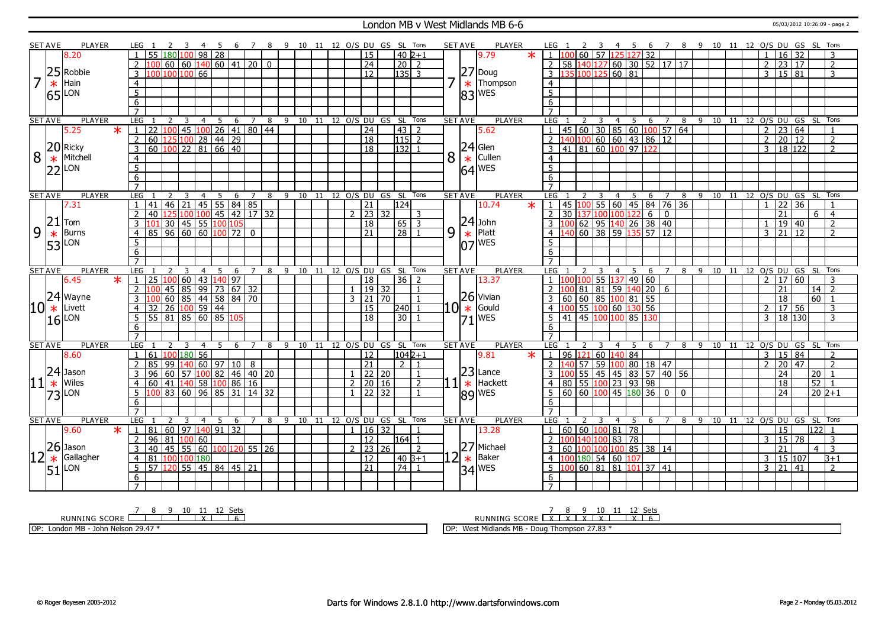#### London MB v West Midlands MB 6-6 05/03/2012 10:26:09 - page 2

|                | <b>SET AVE</b> | <b>PLAYER</b>       | LEG 1               | <sup>2</sup>                 | $\mathbf{3}$   |                                                                                                       | -5              |                                                                             | 78             |   | 9 10 11 12 O/S DU GS SL Tons |  |                |                     |                   |                |    | <b>SET AVE</b> | <b>PLAYER</b>                                                              | LEG 1                             | <sup>2</sup>     | 3                       |                 | 45             |                                        | 6 7 8 9 10 11 12 O/S DU GS SL Tons |                |           |                       |  |                |                              |      |                    |                         |
|----------------|----------------|---------------------|---------------------|------------------------------|----------------|-------------------------------------------------------------------------------------------------------|-----------------|-----------------------------------------------------------------------------|----------------|---|------------------------------|--|----------------|---------------------|-------------------|----------------|----|----------------|----------------------------------------------------------------------------|-----------------------------------|------------------|-------------------------|-----------------|----------------|----------------------------------------|------------------------------------|----------------|-----------|-----------------------|--|----------------|------------------------------|------|--------------------|-------------------------|
|                |                | 8.20                |                     | $\overline{55}$              |                | 180 100 98                                                                                            | $\overline{28}$ |                                                                             |                |   |                              |  |                | 15                  | 40 2+1            |                |    |                | 9.79<br>$\ast$                                                             | 100                               |                  |                         |                 |                | 60 57 125 127 32                       |                                    |                |           |                       |  |                | 16                           | 32   |                    | 3                       |
|                |                |                     | $\overline{2}$      | 100                          |                |                                                                                                       |                 | 60   60   140   60   41   20   0                                            |                |   |                              |  |                | $\overline{24}$     | 20 2              |                |    |                |                                                                            | 2                                 | 58 140 127       |                         |                 |                | $\boxed{60}$ 30 52 17 17               |                                    |                |           |                       |  | 2 <sup>1</sup> | 23                           | l 17 |                    | $\overline{2}$          |
|                |                | $25$ Robbie         | 3                   | 100 100 100                  |                | 66                                                                                                    |                 |                                                                             |                |   |                              |  |                | $\overline{12}$     | $135$ 3           |                |    |                | $27$ Doug                                                                  | $\overline{3}$ $\overline{1}$     |                  | 100 125                 |                 | $60$ 81        |                                        |                                    |                |           |                       |  | 3              | 15 81                        |      |                    | $\overline{3}$          |
| $\overline{7}$ |                |                     |                     |                              |                |                                                                                                       |                 |                                                                             |                |   |                              |  |                |                     |                   |                |    |                |                                                                            |                                   |                  |                         |                 |                |                                        |                                    |                |           |                       |  |                |                              |      |                    |                         |
|                | $\ast$         | Hain                | $\overline{4}$      |                              |                |                                                                                                       |                 |                                                                             |                |   |                              |  |                |                     |                   |                |    | $\ast$         | Thompson                                                                   | $\overline{4}$                    |                  |                         |                 |                |                                        |                                    |                |           |                       |  |                |                              |      |                    |                         |
|                |                | $ 65 $ LON          | $\frac{5}{6}$       |                              |                |                                                                                                       |                 |                                                                             |                |   |                              |  |                |                     |                   |                |    |                | $ 83 $ <sup>WES</sup>                                                      | $\overline{5}$                    |                  |                         |                 |                |                                        |                                    |                |           |                       |  |                |                              |      |                    |                         |
|                |                |                     |                     |                              |                |                                                                                                       |                 |                                                                             |                |   |                              |  |                |                     |                   |                |    |                |                                                                            | 6                                 |                  |                         |                 |                |                                        |                                    |                |           |                       |  |                |                              |      |                    |                         |
|                |                |                     | $\overline{7}$      |                              |                |                                                                                                       |                 |                                                                             |                |   |                              |  |                |                     |                   |                |    |                |                                                                            |                                   |                  |                         |                 |                |                                        |                                    |                |           |                       |  |                |                              |      |                    |                         |
|                | <b>SET AVE</b> | <b>PLAYER</b>       | <b>LEG</b>          | 2                            | $\overline{3}$ | $\overline{4}$                                                                                        | 5               |                                                                             | 6 7 8          |   | 9 10 11 12 O/S DU GS SL Tons |  |                |                     |                   |                |    | <b>SET AVE</b> | <b>PLAYER</b>                                                              | LEG 1                             | <sup>2</sup>     | $\overline{\mathbf{3}}$ |                 |                | 4 5 6 7 8 9 10 11 12 O/S DU GS SL Tons |                                    |                |           |                       |  |                |                              |      |                    |                         |
|                |                | $\ast$<br>5.25      |                     | 22                           |                |                                                                                                       |                 | 100 45 100 26 41 80 44                                                      |                |   |                              |  |                | 24                  | 43                | $\overline{z}$ |    |                | 5.62                                                                       |                                   |                  |                         |                 |                | 45 60 30 85 60 100 57 64               |                                    |                |           |                       |  | $\overline{2}$ | 23                           | 64   |                    | $\overline{1}$          |
|                |                |                     | $\overline{2}$      | 60                           |                | 125 100 28 44                                                                                         |                 | $\overline{29}$                                                             |                |   |                              |  |                | <sup>18</sup>       | $\overline{115}$  | $\overline{2}$ |    |                |                                                                            |                                   |                  |                         |                 |                | $\frac{40 100 }{60 60 43 86 12}$       |                                    |                |           |                       |  | 2              | 20                           | 12   |                    | $\overline{2}$          |
|                |                | $20$ Ricky          | 3                   | $\frac{60}{100}$ 22 81 66 40 |                |                                                                                                       |                 |                                                                             |                |   |                              |  |                | $\overline{18}$     | $132$ 1           |                |    |                |                                                                            | 3                                 |                  |                         |                 |                | 41 81 60 100 97 122                    |                                    |                |           |                       |  |                | 3   18   122                 |      |                    | $\overline{2}$          |
| 8              | $\ast$         | Mitchell            | 4                   |                              |                |                                                                                                       |                 |                                                                             |                |   |                              |  |                |                     |                   |                | 8  |                | $24$ Glen<br>$\ast$ Culler<br>Cullen                                       | $\overline{4}$                    |                  |                         |                 |                |                                        |                                    |                |           |                       |  |                |                              |      |                    |                         |
|                |                | $22$ LON            | $\overline{5}$      |                              |                |                                                                                                       |                 |                                                                             |                |   |                              |  |                |                     |                   |                |    |                | $64$ <sup>WES</sup>                                                        | $\overline{5}$                    |                  |                         |                 |                |                                        |                                    |                |           |                       |  |                |                              |      |                    |                         |
|                |                |                     | $\overline{6}$      |                              |                |                                                                                                       |                 |                                                                             |                |   |                              |  |                |                     |                   |                |    |                |                                                                            | 6                                 |                  |                         |                 |                |                                        |                                    |                |           |                       |  |                |                              |      |                    |                         |
|                |                |                     | $\overline{7}$      |                              |                |                                                                                                       |                 |                                                                             |                |   |                              |  |                |                     |                   |                |    |                |                                                                            | $\overline{7}$                    |                  |                         |                 |                |                                        |                                    |                |           |                       |  |                |                              |      |                    |                         |
|                | <b>SET AVE</b> | <b>PLAYER</b>       | LEG                 |                              | 3              | $\overline{4}$                                                                                        | 5               | 6                                                                           | 7              | 8 | 9 10 11 12 0/S DU GS SL Tons |  |                |                     |                   |                |    | <b>SET AVE</b> | <b>PLAYER</b>                                                              | <b>LEG</b>                        |                  |                         |                 | $\overline{4}$ | 5 6 7                                  |                                    |                | 8 9 10 11 |                       |  |                | 12 0/S DU GS SL              |      |                    | Tons                    |
|                |                | 7.31                | $\mathbf{1}$        | 41                           |                |                                                                                                       |                 | 46 21 45 55 84 85                                                           |                |   |                              |  |                | 21                  | 124               |                |    |                | 10.74<br>$\ast$                                                            |                                   |                  |                         |                 |                | 45   100   55   60   45   84   76   36 |                                    |                |           |                       |  | $\mathbf{1}$   | 22                           | 36   |                    | $\overline{1}$          |
|                |                |                     | $\overline{2}$      | 40                           |                |                                                                                                       |                 | 125 100 100 45 42 17 32                                                     |                |   |                              |  | $\mathcal{D}$  | 23 32               |                   | 3              |    |                |                                                                            | $\overline{30}$<br>$\overline{2}$ |                  | 137100                  |                 | 122<br>100     |                                        | $6$ 0                              |                |           |                       |  |                | $\overline{21}$              |      | $6-1$              | $\overline{4}$          |
|                | 21             | Tom                 | 3                   | 101                          |                |                                                                                                       |                 |                                                                             |                |   |                              |  |                | 18                  |                   |                |    |                |                                                                            |                                   |                  |                         |                 |                |                                        |                                    |                |           |                       |  |                | 19                           |      |                    | $\overline{2}$          |
|                |                |                     |                     |                              |                | $\begin{array}{ c c c c c c }\n\hline\n30 & 45 & 55 & 100 \\ \hline\n96 & 60 & 60 & 100\n\end{array}$ |                 | 105                                                                         |                |   |                              |  |                |                     | 65 3              |                |    |                |                                                                            |                                   |                  |                         |                 |                | 100 62 95 140 26 38 40                 |                                    |                |           |                       |  |                |                              | 40   |                    |                         |
| 9              | $\ast$         | <b>Burns</b>        | $\overline{4}$      | 85                           |                |                                                                                                       |                 | 72                                                                          | $\Omega$       |   |                              |  |                | $\overline{21}$     | 28                | $\overline{1}$ | 9  |                |                                                                            | 4                                 | 40 60 38 59      |                         |                 | 135            |                                        | $57$ 12                            |                |           |                       |  |                | $3 \mid 21$                  | 12   |                    | $\overline{2}$          |
|                |                | 53 LON              | $\overline{5}$      |                              |                |                                                                                                       |                 |                                                                             |                |   |                              |  |                |                     |                   |                |    |                | $\begin{array}{c}  24 _{\text{John}} \\ * \\ 07 _{\text{WES}} \end{array}$ | 5                                 |                  |                         |                 |                |                                        |                                    |                |           |                       |  |                |                              |      |                    |                         |
|                |                |                     | 6                   |                              |                |                                                                                                       |                 |                                                                             |                |   |                              |  |                |                     |                   |                |    |                |                                                                            | 6                                 |                  |                         |                 |                |                                        |                                    |                |           |                       |  |                |                              |      |                    |                         |
|                |                |                     | $\overline{7}$      |                              |                |                                                                                                       |                 |                                                                             |                |   |                              |  |                |                     |                   |                |    |                |                                                                            | $\overline{7}$                    |                  |                         |                 |                |                                        |                                    |                |           |                       |  |                |                              |      |                    |                         |
|                |                |                     |                     |                              |                |                                                                                                       |                 |                                                                             |                |   |                              |  |                |                     |                   |                |    |                |                                                                            |                                   |                  |                         |                 |                |                                        |                                    |                |           |                       |  |                |                              |      |                    |                         |
|                | <b>SET AVE</b> | <b>PLAYER</b>       | <b>LEG</b>          |                              |                | 4                                                                                                     | 5               | 6                                                                           |                | 8 | 9 10 11 12 O/S DU GS SL      |  |                |                     |                   | Tons           |    | <b>SET AVE</b> | <b>PLAYER</b>                                                              | LEG                               |                  |                         |                 | 4              | 5<br>6                                 | $\overline{7}$                     |                | 8 9       | 10 11 12 0/S DU GS SL |  |                |                              |      |                    | Tons                    |
|                |                | $\ast$<br>6.45      | $\mathbf{1}$        | 25                           |                | $\vert 100 \vert 60 \vert 43 \vert 140 \vert 97$                                                      |                 |                                                                             |                |   |                              |  |                | 18                  | $36 \mid 2$       |                |    |                | 13.37                                                                      |                                   |                  | $100$ 55                |                 | 137            | 49 60                                  |                                    |                |           |                       |  |                | 2   17   60                  |      |                    | 3                       |
|                |                |                     | $\overline{2}$      |                              |                |                                                                                                       |                 |                                                                             |                |   |                              |  | $\mathbf{1}$   | 19 32               |                   | $\overline{1}$ |    |                |                                                                            | $\overline{2}$                    | 81               | 81                      |                 |                | $59 \, 140 \, 20 \, 6$                 |                                    |                |           |                       |  |                | 21                           |      | $14$   2           |                         |
|                |                | $24$ Wayne          | 3                   |                              |                |                                                                                                       |                 |                                                                             |                |   |                              |  |                | $3 \mid 21 \mid 70$ |                   |                |    |                | $26$ Vivian                                                                | 60<br>3                           |                  |                         |                 |                | $\frac{160}{85}$ 100 81 55             |                                    |                |           |                       |  |                | 18                           |      | 60                 | $\overline{1}$          |
|                |                | Livett              | $\overline{4}$      | 32                           |                |                                                                                                       |                 |                                                                             |                |   |                              |  |                | 15                  | $240$ 1           |                |    |                | $10$ $\ast$ Sould                                                          | $\overline{4}$                    |                  |                         |                 |                | $100$ 55 $100$ 60 $130$ 56             |                                    |                |           |                       |  | $\overline{2}$ | 17                           | 56   |                    | 3                       |
|                | $10*$          |                     | 5                   | $\overline{55}$              |                |                                                                                                       |                 |                                                                             |                |   |                              |  |                | $\overline{18}$     | 30 1              |                |    |                |                                                                            | 5<br>41                           | 45 100           |                         |                 | 85<br>100      | 130                                    |                                    |                |           |                       |  | $\mathcal{E}$  | 18 130                       |      |                    | 3                       |
|                |                | $16$ <sup>LON</sup> | $6 \overline{6}$    |                              |                |                                                                                                       |                 | 15 85 99 73 67 32<br>0 60 85 44 58 84 70<br>26 100 59 44<br>81 85 60 85 105 |                |   |                              |  |                |                     |                   |                |    |                | $ 71 ^{WES}$                                                               | $6\overline{6}$                   |                  |                         |                 |                |                                        |                                    |                |           |                       |  |                |                              |      |                    |                         |
|                |                |                     | $\overline{7}$      |                              |                |                                                                                                       |                 |                                                                             |                |   |                              |  |                |                     |                   |                |    |                |                                                                            | $\overline{7}$                    |                  |                         |                 |                |                                        |                                    |                |           |                       |  |                |                              |      |                    |                         |
|                | <b>SET AVE</b> | <b>PLAYER</b>       | <b>LEG</b>          |                              | 3              |                                                                                                       | .5              | 6                                                                           | $\overline{7}$ | 8 | 9 10 11 12 0/S DU GS SL Tons |  |                |                     |                   |                |    | <b>SET AVE</b> | <b>PLAYER</b>                                                              | LEG 1                             |                  | 3                       |                 | 5<br>4         | 6                                      | $\overline{7}$                     | 8              | - 9       |                       |  |                | 10 11 12 0/S DU GS SL Tons   |      |                    |                         |
|                |                | 8.60                | $\mathbf{1}$        | 61                           |                | 100 180 56                                                                                            |                 |                                                                             |                |   |                              |  |                | $\overline{12}$     | 1042+1            |                |    |                | 9.81<br>$\star$                                                            | 96<br>$\mathbf{1}$                | 121              | 60                      | 140             | 84             |                                        |                                    |                |           |                       |  |                | 3   15   84                  |      |                    | $\overline{2}$          |
|                |                |                     | $\overline{2}$      | 85<br>99                     |                | 140 60 97                                                                                             |                 | 10 <sup>1</sup>                                                             | 8              |   |                              |  |                | $\overline{21}$     | $\overline{2}$    | $\overline{1}$ |    |                |                                                                            |                                   | 57               | 59                      | 10 <sub>0</sub> |                |                                        |                                    |                |           |                       |  | $\overline{2}$ | $\overline{20}$              | 47   |                    | $\overline{2}$          |
|                |                |                     |                     |                              |                |                                                                                                       |                 |                                                                             |                |   |                              |  |                |                     |                   |                |    |                |                                                                            | $\overline{2}$                    |                  |                         |                 |                | 80 18 47                               |                                    |                |           |                       |  |                |                              |      |                    | $\overline{1}$          |
|                |                | $24$ Jason          | 3                   | 96                           |                |                                                                                                       |                 | $60$   57 $\vert 100 \vert$ 82   46   40   20                               |                |   |                              |  |                | 22 20               |                   |                |    |                | $23$ Lance                                                                 |                                   |                  |                         |                 |                | 55 45 45 83 57 40 56                   |                                    |                |           |                       |  |                | $\overline{24}$              |      | $\overline{20}$    | $\overline{\mathbf{1}}$ |
|                | $11*$          | Wiles               | $\overline{4}$      | 60<br>41                     |                | $140$ 58                                                                                              |                 | 100 86                                                                      | 16             |   |                              |  | $\overline{2}$ | 20 16               |                   | $\overline{2}$ |    | $ \ast $       | Hackett                                                                    | 80<br>4                           |                  |                         | 55 100 23       |                | 93 98                                  |                                    |                |           |                       |  |                | 18                           |      | 52                 |                         |
|                |                | $ 73 $ LON          | 5                   | 100 83 60 96 85 31 14 32     |                |                                                                                                       |                 |                                                                             |                |   |                              |  | $\mathbf{1}$   | 22 32               |                   | $\overline{1}$ |    |                | $ 89 $ <sup>WES</sup>                                                      | .5                                |                  |                         |                 |                | 60 60 100 45 180 36 0                  |                                    | $\overline{0}$ |           |                       |  |                | $\overline{24}$              |      | $20\overline{2+1}$ |                         |
|                |                |                     | 6                   |                              |                |                                                                                                       |                 |                                                                             |                |   |                              |  |                |                     |                   |                |    |                |                                                                            | 6                                 |                  |                         |                 |                |                                        |                                    |                |           |                       |  |                |                              |      |                    |                         |
|                |                |                     | $\overline{7}$      |                              |                |                                                                                                       |                 |                                                                             |                |   |                              |  |                |                     |                   |                |    |                |                                                                            | $\overline{7}$                    |                  |                         |                 |                |                                        |                                    |                |           |                       |  |                |                              |      |                    |                         |
|                | SET AVE        | <b>PLAYER</b>       | LEG                 | $\mathcal{L}$                | 3              | $\overline{4}$                                                                                        | 5               | 6                                                                           | 7              | 8 | 9 10 11 12 0/S DU GS SL Tons |  |                |                     |                   |                |    | <b>SET AVE</b> | <b>PLAYER</b>                                                              | LEG <sub>1</sub>                  | $\mathcal{L}$    | 3                       |                 | $\overline{4}$ | - 5<br>- 6                             | $\overline{7}$                     | 8              |           |                       |  |                | 9 10 11 12 O/S DU GS SL Tons |      |                    |                         |
|                |                | 9.60<br>$\ast$      | $\mathbf{1}$        | 60<br>81                     |                |                                                                                                       |                 | 97   140   91   32                                                          |                |   |                              |  |                | $1 \mid 16 \mid 32$ |                   | -1             |    |                | 13.28                                                                      |                                   | 60 60 100        |                         |                 | 78<br>81       |                                        |                                    |                |           |                       |  |                | 15                           |      | 122                | $\overline{1}$          |
|                |                |                     | $\overline{2}$      | 96<br>81                     | 100            | $\overline{60}$                                                                                       |                 |                                                                             |                |   |                              |  |                | 12                  | 164 1             |                |    |                |                                                                            | $\mathcal{L}$                     |                  | 140 100                 |                 | 83 78          |                                        |                                    |                |           |                       |  | 3              | 15 <sub>1</sub>              | 78   |                    | 3                       |
|                |                | $26$ Jason          | 3                   | 40                           |                | $45$ 55 60                                                                                            |                 | 100 120 55 26                                                               |                |   |                              |  |                | $2 \mid 23 \mid 26$ |                   | $\overline{z}$ |    |                | 27 Michael                                                                 | 3                                 | 60 100 100 100   |                         |                 |                | 85 38 14                               |                                    |                |           |                       |  |                | 21                           |      | 4 <sup>1</sup>     | $\overline{3}$          |
| 12             | $\ast$         | Gallagher           | $\overline{4}$      | 81                           |                | 100 100 180                                                                                           |                 |                                                                             |                |   |                              |  |                | $\overline{12}$     | $40\,3+1$         |                | 12 | $\ast$         | Baker                                                                      | $\overline{4}$                    | 00 180 54 60 107 |                         |                 |                |                                        |                                    |                |           |                       |  | 3              | 15 107                       |      |                    | $B+1$                   |
|                |                | LON                 | 5                   | 57 120 55 45 84 45 21        |                |                                                                                                       |                 |                                                                             |                |   |                              |  |                | $\overline{21}$     | $\overline{74}$ 1 |                |    |                |                                                                            | 5                                 |                  |                         |                 |                | $100 \ 60 \ 81 \ 81 \ 101 \ 37 \ 41$   |                                    |                |           |                       |  |                | 3   21   41                  |      |                    | $\overline{2}$          |
|                | 51             |                     | 6<br>$\overline{7}$ |                              |                |                                                                                                       |                 |                                                                             |                |   |                              |  |                |                     |                   |                |    |                | $ 34 ^{WES}$                                                               | 6<br>$\overline{7}$               |                  |                         |                 |                |                                        |                                    |                |           |                       |  |                |                              |      |                    |                         |

RUNNING SCORE 7 8 9 10 11 X 12 Sets 6

OP: London MB - John Nelson 29.47 \*

RUNNING SCORE 7 X 8 X 9 X 10 X 11 12 X Sets 6 OP: West Midlands MB - Doug Thompson 27.83 \*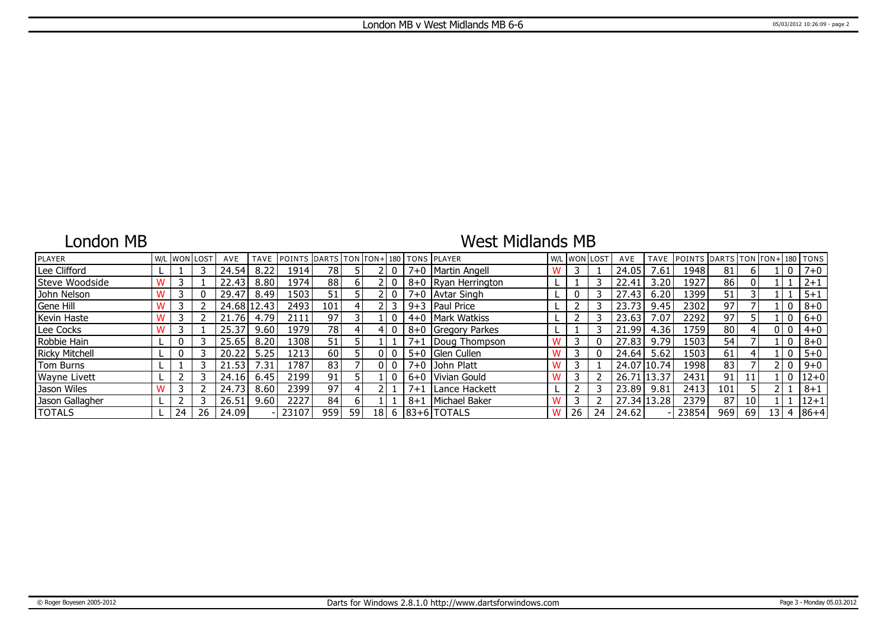# London MB

### West Midlands MB

| PLAYER                |    | W/L WON LOST | AVE   | <b>TAVE</b> | <b>POINTS DARTS TON FON+ 180 TONS PLAYER</b> |                 |     |      |   |         |                      | W/L   WON   LOST |    | AVE         | <b>TAVE</b> | POINTS DARTS TON TON+ 180 TONS |     |    |                 |          |
|-----------------------|----|--------------|-------|-------------|----------------------------------------------|-----------------|-----|------|---|---------|----------------------|------------------|----|-------------|-------------|--------------------------------|-----|----|-----------------|----------|
| Lee Clifford          |    |              | 24.54 | 8.22        | 1914                                         | 78              |     |      |   |         | 7+0   Martin Angell  |                  |    | 24.05       | '.61        | 1948.                          | 81  |    |                 | $7 + 0$  |
| Steve Woodside        |    |              | 22.43 | 8.80        | 1974                                         | 88              | h I |      | 0 |         | 8+0 Ryan Herrington  |                  |    | 22.41       | 3.20        | 1927                           | 86  |    |                 | $2 + 1$  |
| John Nelson           |    |              | 29.47 | 8.49        | 1503                                         | 51 l            |     |      |   |         | 7+0 Avtar Singh      |                  |    | 27.43       | 6.20        | 13991                          | 51  |    |                 | $5 + 1$  |
| Gene Hill             |    |              | 24.68 | 12.43       | 2493                                         | 101             |     |      |   |         | 9+3   Paul Price     |                  |    | 23.73       | 9.45        | 2302                           | 97  |    |                 | $8 + 0$  |
| Kevin Haste           |    |              | 21.76 | 4.79        | 2111                                         | 97 <sub>1</sub> |     |      |   | $4 + 0$ | <b>IMark Watkiss</b> |                  |    | 23.63       | .07         | 2292                           | 97  |    |                 | $6+0$    |
| Lee Cocks             |    |              | 25.37 | 9.60        | 19791                                        | 78              |     |      |   |         | 8+0 Gregory Parkes   |                  |    | 21.99       | 4.36        | 1759                           | 80  |    |                 | $4 + 0$  |
| Robbie Hain           |    |              | 25.65 | 8.20        | 1308                                         | 51              |     |      |   | $7 + 1$ | Doug Thompson        |                  |    | 27.83       | 9.79        | 1503                           | 54  |    |                 | $8 + 0$  |
| <b>Ricky Mitchell</b> |    |              | 20.22 | 5.25        | 1213                                         | 60 <sup>1</sup> |     | 01   |   |         | 5+0 Glen Cullen      |                  |    | 24.64       | 5.62        | 1503 <sub>1</sub>              | 61  | 4  |                 | $5 + 0$  |
| Tom Burns             |    |              | 21.53 | '.31        | 1787                                         | 83              |     | 01   |   |         | 7+0 John Platt       |                  |    | 24.07 10.74 |             | 1998                           | 83  |    |                 | $9 + 0$  |
| <b>Wayne Livett</b>   |    |              | 24.16 | 6.45        | 2199                                         | 91 <sub>1</sub> |     |      |   |         | 6+0   Vivian Gould   |                  |    | 26.71 13.37 |             | 2431                           | 91  | 11 |                 | $12+0$   |
| Jason Wiles           |    |              | 24.73 | 8.60        | 2399                                         | 97              |     |      |   | $7 + 1$ | Lance Hackett        |                  |    | 23.89       | 9.81        | 2413                           | 101 |    |                 | $8 + 1$  |
| Jason Gallagher       |    |              | 26.51 | 9.60        | 2227                                         | 84              |     |      |   | $8+1$   | Michael Baker        |                  |    | 27.34 13.28 |             | 2379                           | 87  | 10 |                 | $ 12+1$  |
| <b>TOTALS</b>         | 24 | 26           | 24.09 |             | 23107                                        | 9591            | 59  | 18 l |   |         | 6 83+6 TOTALS        | 26               | 24 | 24.62       |             | 23854                          | 969 | 69 | 13 <sup>1</sup> | $ 86+4 $ |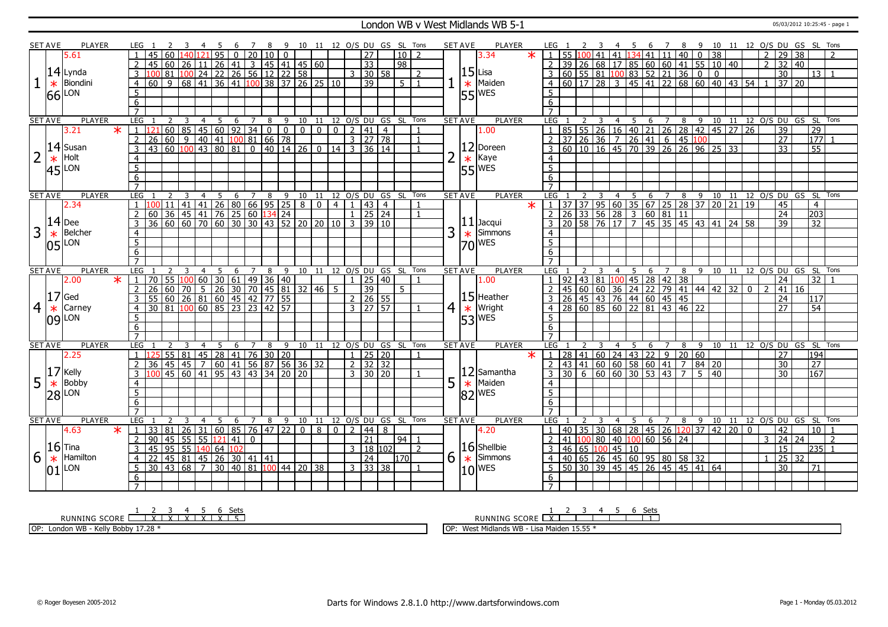London WB v West Midlands WB 5-1 05/03/2012 10:25:45 - page 1

|                | <b>SET AVE</b> | PLAYER              |         |                  |                                             |                  |                |     |                      |                                                                                                 |   | 7 8 9 10 11 12 O/S DU GS SL Tons |       |                 |                         |                     |              |                |                |                | SET AVE        | <b>PLAYER</b>         |         |                                                                                                            |                                                                                                            |    |                |                                |   |                |                |                |    |     |                |                |                     | 9 10 11 12 O/S DU GS SL Tons           |                  |                |
|----------------|----------------|---------------------|---------|------------------|---------------------------------------------|------------------|----------------|-----|----------------------|-------------------------------------------------------------------------------------------------|---|----------------------------------|-------|-----------------|-------------------------|---------------------|--------------|----------------|----------------|----------------|----------------|-----------------------|---------|------------------------------------------------------------------------------------------------------------|------------------------------------------------------------------------------------------------------------|----|----------------|--------------------------------|---|----------------|----------------|----------------|----|-----|----------------|----------------|---------------------|----------------------------------------|------------------|----------------|
|                |                | 5.61                |         |                  | 45<br>60                                    |                  |                |     |                      | $121$ 95 0 20 10 0                                                                              |   |                                  |       |                 |                         | $\overline{27}$     |              | $10$   2       |                |                |                | 3.34                  | $\star$ |                                                                                                            |                                                                                                            |    | 41             | $\overline{134}$ 41 11 40 0 38 |   | 78             |                |                |    |     |                | 2 <sup>1</sup> | 79                  | 38                                     |                  |                |
|                |                |                     |         |                  | $\overline{60}$<br>45                       | 26 l             |                |     |                      | $11 \mid 26 \mid 41 \mid 3 \mid 45 \mid 41 \mid 45 \mid 60$                                     |   |                                  |       |                 |                         | $\overline{33}$     |              | $\sqrt{98}$    |                |                |                |                       |         | $2 \mid 39 \mid 26$                                                                                        |                                                                                                            |    |                |                                |   |                |                |                |    |     |                |                | $2 \mid 32 \mid 40$ |                                        |                  |                |
|                |                | $14$ Lynda          |         |                  | 81                                          |                  |                |     |                      |                                                                                                 |   |                                  |       |                 | $\mathcal{E}$           | $30 \overline{)58}$ |              |                |                |                |                | $15$ Lisa             |         |                                                                                                            |                                                                                                            |    |                |                                |   |                |                |                |    |     |                |                | $\overline{30}$     |                                        |                  |                |
|                |                |                     |         |                  |                                             |                  |                |     |                      | 100 24 22 26 56 12 22 58                                                                        |   |                                  |       |                 |                         |                     |              |                |                |                |                | Maiden                |         |                                                                                                            | 39 26 68 17 85 60 60 41 55 10 40 2<br>60 55 81 100 83 52 21 36 0 0<br>60 17 28 3 45 41 22 68 60 40 43 54 1 |    |                |                                |   |                |                |                |    |     |                |                |                     |                                        | $\overline{13}$  |                |
|                | $\ast$         | Biondini            |         | 4                | $60 \mid 9$                                 |                  |                |     |                      | 68   41   36   41   100   38   37   26   25   10                                                |   |                                  |       |                 |                         | 39                  |              | 5 <sup>1</sup> |                |                | $\ast$         |                       |         | $\boxed{60}$ 17 28 3<br>$\overline{4}$                                                                     |                                                                                                            |    |                |                                |   |                |                |                |    |     |                |                | 37 20               |                                        |                  |                |
|                |                | $ 66 $ LON          |         | $\overline{5}$   |                                             |                  |                |     |                      |                                                                                                 |   |                                  |       |                 |                         |                     |              |                |                |                |                | $ 55 $ <sup>WES</sup> |         | 5                                                                                                          |                                                                                                            |    |                |                                |   |                |                |                |    |     |                |                |                     |                                        |                  |                |
|                |                |                     |         | 6                |                                             |                  |                |     |                      |                                                                                                 |   |                                  |       |                 |                         |                     |              |                |                |                |                |                       |         | 6                                                                                                          |                                                                                                            |    |                |                                |   |                |                |                |    |     |                |                |                     |                                        |                  |                |
|                |                |                     |         | $\overline{7}$   |                                             |                  |                |     |                      |                                                                                                 |   |                                  |       |                 |                         |                     |              |                |                |                |                |                       |         | $\overline{7}$                                                                                             |                                                                                                            |    |                |                                |   |                |                |                |    |     |                |                |                     |                                        |                  |                |
|                | <b>SET AVE</b> | <b>PLAYER</b>       |         | LEG              |                                             | 3                | $\overline{4}$ | 5   | 6                    | $7\overline{ }$                                                                                 | 8 | 9                                | 10    | $\overline{11}$ | 12 O/S DU GS SL Tons    |                     |              |                |                |                | <b>SET AVE</b> | <b>PLAYER</b>         |         | LEG                                                                                                        |                                                                                                            |    | $\overline{4}$ | 5 <sup>7</sup>                 | 6 | $\overline{7}$ | $\overline{8}$ | $\overline{9}$ | 10 | 11  |                |                |                     | 12 O/S DU GS SL Tons                   |                  |                |
|                |                | 3.21                | $\ast$  | $\overline{1}$   | 60                                          |                  |                |     |                      | 85 45 60 92 34 0 0 0 0 0 2 41 4<br>9 40 41 100 81 66 78 3 27 78                                 |   |                                  |       |                 |                         |                     |              |                |                |                |                | 1.00                  |         | 1 85 55 26 16 40 21 26 28 42 45 27 26<br>2 37 26 36 7 26 41 6 45 100<br>3 60 10 16 45 70 39 26 26 96 25 33 |                                                                                                            |    |                |                                |   |                |                |                |    |     |                |                | 39                  |                                        | 29               |                |
|                |                |                     |         | $\overline{2}$   | 60<br>26                                    |                  |                |     |                      |                                                                                                 |   |                                  |       |                 |                         |                     |              |                | $\mathbf{1}$   |                |                |                       |         |                                                                                                            |                                                                                                            |    |                |                                |   |                |                |                |    |     |                |                | $\overline{27}$     |                                        | 177              |                |
|                |                | $ 14 $ Susan        |         | $\overline{3}$   | $\overline{43}$                             |                  |                |     |                      | 60 100 43 80 81 0 40 14 26 0 14 3 36 14                                                         |   |                                  |       |                 |                         |                     |              |                | $\mathbf{1}$   |                |                | $12$ Doreen           |         |                                                                                                            |                                                                                                            |    |                |                                |   |                |                |                |    |     |                |                | $\overline{33}$     |                                        | 55               |                |
| $\overline{2}$ | $\ast$         | Holt                |         | $\overline{4}$   |                                             |                  |                |     |                      |                                                                                                 |   |                                  |       |                 |                         |                     |              |                |                | $\overline{2}$ | $\ast$         | Kaye                  |         | $\overline{4}$                                                                                             |                                                                                                            |    |                |                                |   |                |                |                |    |     |                |                |                     |                                        |                  |                |
|                |                | $45$ <sup>LON</sup> |         | $\overline{5}$   |                                             |                  |                |     |                      |                                                                                                 |   |                                  |       |                 |                         |                     |              |                |                |                |                | $ 55 $ <sup>WES</sup> |         | $\overline{5}$                                                                                             |                                                                                                            |    |                |                                |   |                |                |                |    |     |                |                |                     |                                        |                  |                |
|                |                |                     |         | $\overline{6}$   |                                             |                  |                |     |                      |                                                                                                 |   |                                  |       |                 |                         |                     |              |                |                |                |                |                       |         | 6                                                                                                          |                                                                                                            |    |                |                                |   |                |                |                |    |     |                |                |                     |                                        |                  |                |
|                |                |                     |         | $\overline{7}$   |                                             |                  |                |     |                      |                                                                                                 |   |                                  |       |                 |                         |                     |              |                |                |                |                |                       |         | $\overline{7}$                                                                                             |                                                                                                            |    |                |                                |   |                |                |                |    |     |                |                |                     |                                        |                  |                |
|                | <b>SET AVE</b> | <b>PLAYER</b>       |         | LEG <sub>1</sub> |                                             |                  |                | -5  | 6                    | 7 8 9 10 11 12 O/S DU GS SL Tons                                                                |   |                                  |       |                 |                         |                     |              |                |                |                | <b>SET AVE</b> | <b>PLAYER</b>         |         | LEG 1                                                                                                      |                                                                                                            |    |                |                                |   |                |                |                |    |     |                |                |                     | 4 5 6 7 8 9 10 11 12 O/S DU GS SL Tons |                  |                |
|                |                | 2.34                |         |                  | $100$   11                                  |                  |                |     |                      | $41 \mid 41 \mid 26 \mid 80 \mid 66 \mid 95 \mid 25 \mid 8 \mid 0 \mid 4 \mid 1 \mid 43 \mid 4$ |   |                                  |       |                 |                         |                     |              |                |                |                |                |                       | $\ast$  | $1 \overline{)37} \overline{)37}$                                                                          |                                                                                                            |    |                | 95 60 35 67 25 28 37 20 21 19  |   |                |                |                |    |     |                |                | 45                  |                                        | $\overline{4}$   |                |
|                |                |                     |         |                  | 60                                          |                  |                |     |                      | 36 45 41 76 25 60 134 24                                                                        |   |                                  |       |                 |                         | 25 24               |              |                |                |                |                |                       |         | $\overline{2}$                                                                                             |                                                                                                            |    |                |                                |   |                |                |                |    |     |                |                | $\overline{24}$     |                                        | 203              |                |
|                |                | $ 14 $ Dee          |         |                  | 36 60 60 70 60 30 30 43 52 20 20 10 3 39 10 |                  |                |     |                      |                                                                                                 |   |                                  |       |                 |                         |                     |              |                |                |                |                | $ 11 $ Jacqui         |         | 26 33 56 28 3 60 81 11                                                                                     |                                                                                                            |    |                |                                |   |                |                |                |    |     |                |                | $\overline{39}$     |                                        | $\overline{32}$  |                |
| 3              | $\ast$         | Belcher             |         | $\overline{4}$   |                                             |                  |                |     |                      |                                                                                                 |   |                                  |       |                 |                         |                     |              |                |                | 3              | $\ast$         | Simmons               |         | $\overline{4}$                                                                                             |                                                                                                            |    |                |                                |   |                |                |                |    |     |                |                |                     |                                        |                  |                |
|                |                | $ 05 $ LON          |         | $\overline{5}$   |                                             |                  |                |     |                      |                                                                                                 |   |                                  |       |                 |                         |                     |              |                |                |                |                | $ 70 $ WES            |         | 5.                                                                                                         |                                                                                                            |    |                |                                |   |                |                |                |    |     |                |                |                     |                                        |                  |                |
|                |                |                     |         | $\overline{6}$   |                                             |                  |                |     |                      |                                                                                                 |   |                                  |       |                 |                         |                     |              |                |                |                |                |                       |         | 6                                                                                                          |                                                                                                            |    |                |                                |   |                |                |                |    |     |                |                |                     |                                        |                  |                |
|                |                |                     |         | $\overline{7}$   |                                             |                  |                |     |                      |                                                                                                 |   |                                  |       |                 |                         |                     |              |                |                |                |                |                       |         | $\overline{7}$                                                                                             |                                                                                                            |    |                |                                |   |                |                |                |    |     |                |                |                     |                                        |                  |                |
|                | <b>SET AVE</b> | <b>PLAYER</b>       |         | LEG              |                                             |                  |                |     |                      |                                                                                                 | 8 | 9                                | 10 11 |                 | 12 0/S DU               |                     | GS SL Tons   |                |                |                | <b>SET AVE</b> | <b>PLAYER</b>         |         | LEG                                                                                                        |                                                                                                            |    | 4              | 5                              | 6 | 7              | 8              | $\mathbf{q}$   | 10 | -11 |                |                |                     | 12 0/S DU GS SL                        |                  | Tons           |
|                |                | 2.00                | $\star$ | $\sqrt{1}$       | 70<br>55                                    | 100 <sub>l</sub> |                |     |                      |                                                                                                 |   |                                  |       |                 |                         | $1$   25   40       |              |                |                |                |                | 1.00                  |         |                                                                                                            |                                                                                                            |    |                |                                |   |                |                |                |    |     |                |                | 24                  |                                        | 32 <sub>1</sub>  |                |
|                |                |                     |         | $\overline{2}$   | 26<br>60                                    | 70               |                |     |                      |                                                                                                 |   |                                  |       |                 |                         | 39                  |              | 5 <sup>1</sup> |                |                |                |                       |         |                                                                                                            |                                                                                                            |    |                |                                |   |                |                |                |    |     | $\overline{0}$ | $\overline{2}$ | 41                  | 16                                     |                  |                |
|                | $ 17 $ Ged     |                     |         | 3                | $\overline{60}$<br>55                       |                  |                |     |                      | 26 81 60 45 42 77 55                                                                            |   |                                  |       |                 |                         | $2 \ 26 \ 55$       |              |                |                |                |                | $15$ Heather          |         |                                                                                                            |                                                                                                            |    |                |                                |   |                |                |                |    |     |                |                | $\overline{24}$     |                                        | 117              |                |
| $\overline{4}$ | $\ast$         | Carney              |         | $\overline{4}$   | 30 81 100 60 85 23 23 42 57                 |                  |                |     |                      |                                                                                                 |   |                                  |       |                 |                         | $3 \mid 27 \mid 57$ |              |                |                | 4 <sup>1</sup> |                | $\star$ Wright        |         | 4 28 60 85 60 22 81 43 46 22                                                                               |                                                                                                            |    |                |                                |   |                |                |                |    |     |                |                | 27                  |                                        | 54               |                |
|                |                | $ 09 $ LON          |         | 5                |                                             |                  |                |     |                      |                                                                                                 |   |                                  |       |                 |                         |                     |              |                |                |                |                | $ 53 ^{WE\tilde{S}}$  |         | 5                                                                                                          |                                                                                                            |    |                |                                |   |                |                |                |    |     |                |                |                     |                                        |                  |                |
|                |                |                     |         | 6                |                                             |                  |                |     |                      |                                                                                                 |   |                                  |       |                 |                         |                     |              |                |                |                |                |                       |         | 6                                                                                                          |                                                                                                            |    |                |                                |   |                |                |                |    |     |                |                |                     |                                        |                  |                |
|                |                |                     |         | $\overline{7}$   |                                             |                  |                |     |                      |                                                                                                 |   |                                  |       |                 |                         |                     |              |                |                |                |                |                       |         |                                                                                                            |                                                                                                            |    |                |                                |   |                |                |                |    |     |                |                |                     |                                        |                  |                |
|                | <b>SET AVE</b> | <b>PLAYER</b>       |         | <b>LEG</b>       |                                             |                  |                |     | 6                    | $\overline{7}$                                                                                  |   | 8 9 10 11 12 O/S DU GS SL Tons   |       |                 |                         |                     |              |                |                |                | <b>SET AVE</b> | <b>PLAYER</b>         |         | $LEG$ 1                                                                                                    |                                                                                                            |    | $\overline{4}$ | 5                              | 6 | $\overline{7}$ | 8              | 9              |    |     |                |                |                     | 10 11 12 0/S DU GS SL Tons             |                  |                |
|                |                | 2.25                |         |                  | 55                                          | 81 l             |                |     |                      | 45 28 41 76 30 20                                                                               |   |                                  |       |                 |                         | 1 25 20             |              |                |                |                |                |                       | $\ast$  |                                                                                                            | 28 41 60 24 43 22 9 20 60                                                                                  |    |                |                                |   |                |                |                |    |     |                |                | 27                  |                                        | 194              |                |
|                |                |                     |         |                  | 45<br>36                                    | 45               |                |     |                      | 7 60 41 56 87 56 36 32                                                                          |   |                                  |       |                 |                         | $2 \mid 32 \mid 32$ |              |                |                |                |                |                       |         | 43 41                                                                                                      |                                                                                                            | 60 |                | $\boxed{60}$ 58 60 41          |   |                | 7              | 84 20          |    |     |                |                | $\overline{30}$     |                                        | $\overline{27}$  |                |
|                |                | $ 17 $ Kelly        |         | 3                |                                             |                  |                |     |                      | 45   60   41   95   43   43   34   20   20                                                      |   |                                  |       |                 |                         | $3 \mid 30 \mid 20$ |              |                |                |                |                | $12$ Samantha         |         | $\overline{3}$                                                                                             | $30 \mid 6 \mid 60 \mid 60 \mid 30 \mid 53 \mid 43 \mid$                                                   |    |                |                                |   |                | $\overline{7}$ | 5 <sup>1</sup> | 40 |     |                |                | $\overline{30}$     |                                        | $\overline{167}$ |                |
| 5              | $\ast$         | Bobby               |         | $\overline{4}$   |                                             |                  |                |     |                      |                                                                                                 |   |                                  |       |                 |                         |                     |              |                |                | 5              | $\ast$         | Maiden                |         | $\overline{4}$                                                                                             |                                                                                                            |    |                |                                |   |                |                |                |    |     |                |                |                     |                                        |                  |                |
|                |                | <b>28</b> LON       |         | $\overline{5}$   |                                             |                  |                |     |                      |                                                                                                 |   |                                  |       |                 |                         |                     |              |                |                |                |                | $ 82 $ <sup>WES</sup> |         | $\overline{5}$                                                                                             |                                                                                                            |    |                |                                |   |                |                |                |    |     |                |                |                     |                                        |                  |                |
|                |                |                     |         | 6                |                                             |                  |                |     |                      |                                                                                                 |   |                                  |       |                 |                         |                     |              |                |                |                |                |                       |         | 6                                                                                                          |                                                                                                            |    |                |                                |   |                |                |                |    |     |                |                |                     |                                        |                  |                |
|                |                |                     |         | $\overline{7}$   |                                             |                  |                |     |                      |                                                                                                 |   |                                  |       |                 |                         |                     |              |                |                |                |                |                       |         | $\overline{7}$                                                                                             |                                                                                                            |    |                |                                |   |                |                |                |    |     |                |                |                     |                                        |                  |                |
|                | <b>SET AVE</b> | <b>PLAYER</b>       |         | LEG              |                                             |                  |                | .5. | 6                    | $7^{\circ}$                                                                                     | 8 | 9                                | 10    |                 | 11 12 O/S DU GS SL Tons |                     |              |                |                |                | <b>SET AVE</b> | <b>PLAYER</b>         |         | LEG                                                                                                        |                                                                                                            |    |                | -5                             | 6 | $7^{\circ}$    | 8              | 9              | 10 | 11  |                |                |                     | 12 O/S DU GS SL Tons                   |                  |                |
|                |                | 4.63                | $\ast$  | $\cdot$ 1        | 33<br>81                                    | 26               |                |     |                      | $31   60   85   76   47   22   0   8   0   2$                                                   |   |                                  |       |                 |                         | 44 8                |              |                |                |                |                | 4.20                  |         | $\overline{1}$                                                                                             | $40 \mid 35 \mid 30$                                                                                       |    |                | $68$ 28 45 26 120 37 42 20     |   |                |                |                |    |     | l 0            |                | 42                  |                                        | 10               | $\overline{1}$ |
|                |                |                     |         | $\overline{2}$   | 90<br>45                                    |                  |                |     | $55$ $55$ $121$ $41$ | $\mathbf 0$                                                                                     |   |                                  |       |                 |                         | $\overline{21}$     |              | $94$   1       |                |                |                |                       |         | 2<br>41                                                                                                    | 10 <sub>0</sub>                                                                                            | 80 | 40             | 100 60 56 24                   |   |                |                |                |    |     |                | 3              | 24                  | $\overline{24}$                        |                  | $\overline{2}$ |
|                |                |                     |         | 3                | 45 95                                       |                  |                |     | 55 140 64 102        |                                                                                                 |   |                                  |       |                 |                         |                     | 3   18   102 |                | $\overline{2}$ |                |                | $ 16 $ Shellbie       |         | 3   46   65   100   45   10                                                                                |                                                                                                            |    |                |                                |   |                |                |                |    |     |                |                | 15                  |                                        | $ 235 $ 1        |                |
|                | $ 16 $ Tina    |                     |         |                  |                                             |                  |                |     |                      |                                                                                                 |   |                                  |       |                 |                         |                     |              |                |                |                |                |                       |         |                                                                                                            |                                                                                                            |    |                |                                |   |                |                |                |    |     |                |                |                     |                                        |                  |                |
|                |                | Hamilton            |         | $\overline{4}$   |                                             |                  |                |     |                      |                                                                                                 |   |                                  |       |                 |                         | $\overline{24}$     |              | 1170 l         |                |                |                | Simmons               |         | 40<br>$\overline{4}$                                                                                       |                                                                                                            |    |                |                                |   |                |                |                |    |     |                |                | 25                  | 32                                     |                  |                |
| 6              | $\ast$         |                     |         |                  |                                             |                  |                |     |                      | 45 81 45 26 30 41 41                                                                            |   |                                  |       |                 | $3 \mid 33 \mid 38$     |                     |              |                |                | 6              | $\ast$         |                       |         |                                                                                                            | 65 26 45 60 95 80 58 32                                                                                    |    |                |                                |   |                |                |                |    |     |                |                | $\overline{30}$     |                                        | 71               |                |
|                |                | $ 01 $ LON          |         | 6                | 30   43   68                                |                  |                |     |                      | 7 30 40 81 100 44 20 38                                                                         |   |                                  |       |                 |                         |                     |              |                |                |                |                | $10^{\text{WES}}$     |         | 5 5 5 30 39 45 45 26 45 45 41 64<br>6                                                                      |                                                                                                            |    |                |                                |   |                |                |                |    |     |                |                |                     |                                        |                  |                |

<u>1 2 3 4 5 6 Sets</u><br>RUNNING SCORE <u>| X | X | X | X | X | 5</u> OP: London WB - Kelly Bobby 17.28 \*

RUNNING SCORE 1 X 2 3 4 5 6 Sets 1 OP: West Midlands WB - Lisa Maiden 15.55 \*